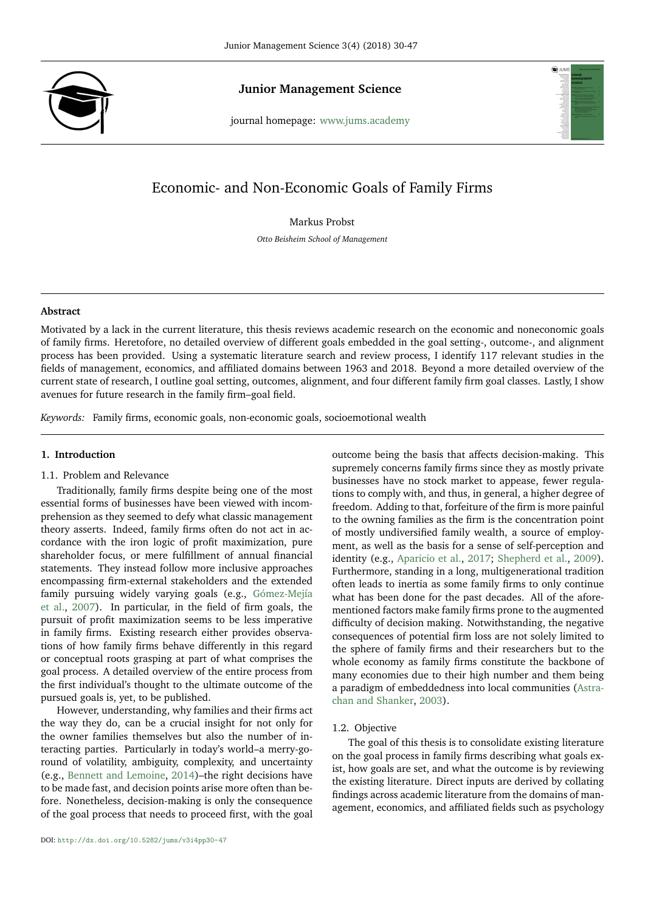

**Junior Management Science Junior Management Science**<br>journal homepage: <www.jums.academy>



# Economic- and Non-Economic Goals of Family Firms

Markus Probst

*Otto Beisheim School of Management*

#### **Abstract**

Motivated by a lack in the current literature, this thesis reviews academic research on the economic and noneconomic goals of family firms. Heretofore, no detailed overview of different goals embedded in the goal setting-, outcome-, and alignment process has been provided. Using a systematic literature search and review process, I identify 117 relevant studies in the fields of management, economics, and affiliated domains between 1963 and 2018. Beyond a more detailed overview of the current state of research, I outline goal setting, outcomes, alignment, and four different family firm goal classes. Lastly, I show avenues for future research in the family firm–goal field.

*Keywords:* Family firms, economic goals, non-economic goals, socioemotional wealth

## **1. Introduction**

## 1.1. Problem and Relevance

Traditionally, family firms despite being one of the most essential forms of businesses have been viewed with incomprehension as they seemed to defy what classic management theory asserts. Indeed, family firms often do not act in accordance with the iron logic of profit maximization, pure shareholder focus, or mere fulfillment of annual financial statements. They instead follow more inclusive approaches encompassing firm-external stakeholders and the extended family pursuing widely varying goals (e.g., [Gómez-Mejía](#page-15-0) [et al.,](#page-15-0) [2007\)](#page-15-0). In particular, in the field of firm goals, the pursuit of profit maximization seems to be less imperative in family firms. Existing research either provides observations of how family firms behave differently in this regard or conceptual roots grasping at part of what comprises the goal process. A detailed overview of the entire process from the first individual's thought to the ultimate outcome of the pursued goals is, yet, to be published.

However, understanding, why families and their firms act the way they do, can be a crucial insight for not only for the owner families themselves but also the number of interacting parties. Particularly in today's world–a merry-goround of volatility, ambiguity, complexity, and uncertainty (e.g., [Bennett and Lemoine,](#page-15-1) [2014\)](#page-15-1)–the right decisions have to be made fast, and decision points arise more often than before. Nonetheless, decision-making is only the consequence of the goal process that needs to proceed first, with the goal

outcome being the basis that affects decision-making. This supremely concerns family firms since they as mostly private businesses have no stock market to appease, fewer regulations to comply with, and thus, in general, a higher degree of freedom. Adding to that, forfeiture of the firm is more painful to the owning families as the firm is the concentration point of mostly undiversified family wealth, a source of employment, as well as the basis for a sense of self-perception and identity (e.g., [Aparicio et al.,](#page-15-2) [2017;](#page-15-2) [Shepherd et al.,](#page-17-0) [2009\)](#page-17-0). Furthermore, standing in a long, multigenerational tradition often leads to inertia as some family firms to only continue what has been done for the past decades. All of the aforementioned factors make family firms prone to the augmented difficulty of decision making. Notwithstanding, the negative consequences of potential firm loss are not solely limited to the sphere of family firms and their researchers but to the whole economy as family firms constitute the backbone of many economies due to their high number and them being a paradigm of embeddedness into local communities [\(Astra](#page-15-3)[chan and Shanker,](#page-15-3) [2003\)](#page-15-3).

#### 1.2. Objective

The goal of this thesis is to consolidate existing literature on the goal process in family firms describing what goals exist, how goals are set, and what the outcome is by reviewing the existing literature. Direct inputs are derived by collating findings across academic literature from the domains of management, economics, and affiliated fields such as psychology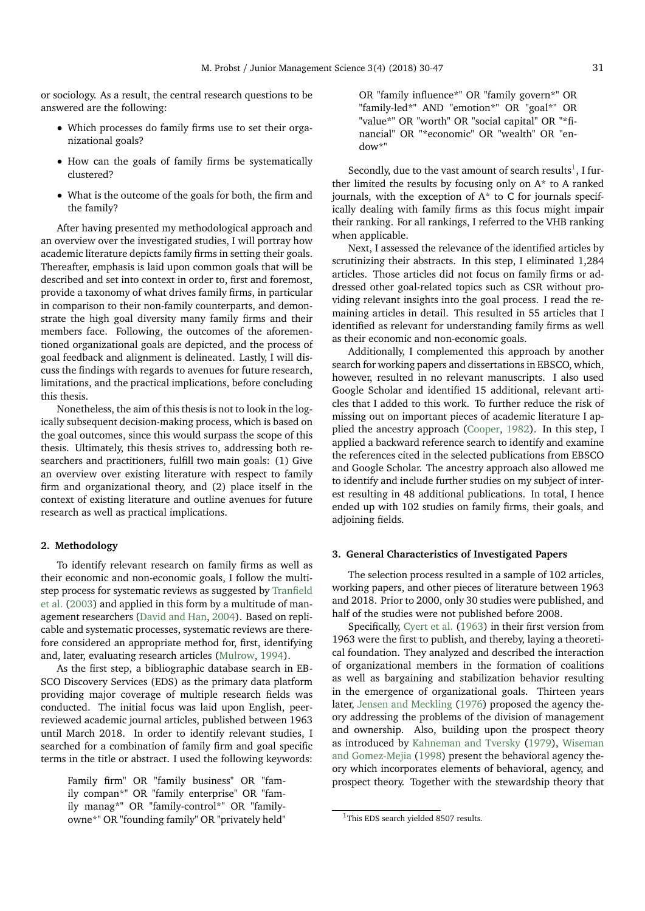or sociology. As a result, the central research questions to be answered are the following:

- Which processes do family firms use to set their organizational goals?
- How can the goals of family firms be systematically clustered?
- What is the outcome of the goals for both, the firm and the family?

After having presented my methodological approach and an overview over the investigated studies, I will portray how academic literature depicts family firms in setting their goals. Thereafter, emphasis is laid upon common goals that will be described and set into context in order to, first and foremost, provide a taxonomy of what drives family firms, in particular in comparison to their non-family counterparts, and demonstrate the high goal diversity many family firms and their members face. Following, the outcomes of the aforementioned organizational goals are depicted, and the process of goal feedback and alignment is delineated. Lastly, I will discuss the findings with regards to avenues for future research, limitations, and the practical implications, before concluding this thesis.

Nonetheless, the aim of this thesis is not to look in the logically subsequent decision-making process, which is based on the goal outcomes, since this would surpass the scope of this thesis. Ultimately, this thesis strives to, addressing both researchers and practitioners, fulfill two main goals: (1) Give an overview over existing literature with respect to family firm and organizational theory, and (2) place itself in the context of existing literature and outline avenues for future research as well as practical implications.

#### **2. Methodology**

To identify relevant research on family firms as well as their economic and non-economic goals, I follow the multistep process for systematic reviews as suggested by [Tranfield](#page-17-1) [et al.](#page-17-1) [\(2003\)](#page-17-1) and applied in this form by a multitude of management researchers [\(David and Han,](#page-15-4) [2004\)](#page-15-4). Based on replicable and systematic processes, systematic reviews are therefore considered an appropriate method for, first, identifying and, later, evaluating research articles [\(Mulrow,](#page-16-0) [1994\)](#page-16-0).

As the first step, a bibliographic database search in EB-SCO Discovery Services (EDS) as the primary data platform providing major coverage of multiple research fields was conducted. The initial focus was laid upon English, peerreviewed academic journal articles, published between 1963 until March 2018. In order to identify relevant studies, I searched for a combination of family firm and goal specific terms in the title or abstract. I used the following keywords:

Family firm" OR "family business" OR "family compan\*" OR "family enterprise" OR "family manag\*" OR "family-control\*" OR "familyowne\*" OR "founding family" OR "privately held"

OR "family influence\*" OR "family govern\*" OR "family-led\*" AND "emotion\*" OR "goal\*" OR "value\*" OR "worth" OR "social capital" OR "\*financial" OR "\*economic" OR "wealth" OR "endow\*"

Secondly, due to the vast amount of search results<sup>[1](#page-1-0)</sup>, I further limited the results by focusing only on  $A^*$  to A ranked journals, with the exception of  $A^*$  to C for journals specifically dealing with family firms as this focus might impair their ranking. For all rankings, I referred to the VHB ranking when applicable.

Next, I assessed the relevance of the identified articles by scrutinizing their abstracts. In this step, I eliminated 1,284 articles. Those articles did not focus on family firms or addressed other goal-related topics such as CSR without providing relevant insights into the goal process. I read the remaining articles in detail. This resulted in 55 articles that I identified as relevant for understanding family firms as well as their economic and non-economic goals.

Additionally, I complemented this approach by another search for working papers and dissertations in EBSCO, which, however, resulted in no relevant manuscripts. I also used Google Scholar and identified 15 additional, relevant articles that I added to this work. To further reduce the risk of missing out on important pieces of academic literature I applied the ancestry approach [\(Cooper,](#page-15-5) [1982\)](#page-15-5). In this step, I applied a backward reference search to identify and examine the references cited in the selected publications from EBSCO and Google Scholar. The ancestry approach also allowed me to identify and include further studies on my subject of interest resulting in 48 additional publications. In total, I hence ended up with 102 studies on family firms, their goals, and adjoining fields.

#### **3. General Characteristics of Investigated Papers**

The selection process resulted in a sample of 102 articles, working papers, and other pieces of literature between 1963 and 2018. Prior to 2000, only 30 studies were published, and half of the studies were not published before 2008.

Specifically, [Cyert et al.](#page-15-6) [\(1963\)](#page-15-6) in their first version from 1963 were the first to publish, and thereby, laying a theoretical foundation. They analyzed and described the interaction of organizational members in the formation of coalitions as well as bargaining and stabilization behavior resulting in the emergence of organizational goals. Thirteen years later, [Jensen and Meckling](#page-16-1) [\(1976\)](#page-16-1) proposed the agency theory addressing the problems of the division of management and ownership. Also, building upon the prospect theory as introduced by [Kahneman and Tversky](#page-16-2) [\(1979\)](#page-16-2), [Wiseman](#page-17-2) [and Gomez-Mejia](#page-17-2) [\(1998\)](#page-17-2) present the behavioral agency theory which incorporates elements of behavioral, agency, and prospect theory. Together with the stewardship theory that

<span id="page-1-0"></span><sup>&</sup>lt;sup>1</sup>This EDS search yielded 8507 results.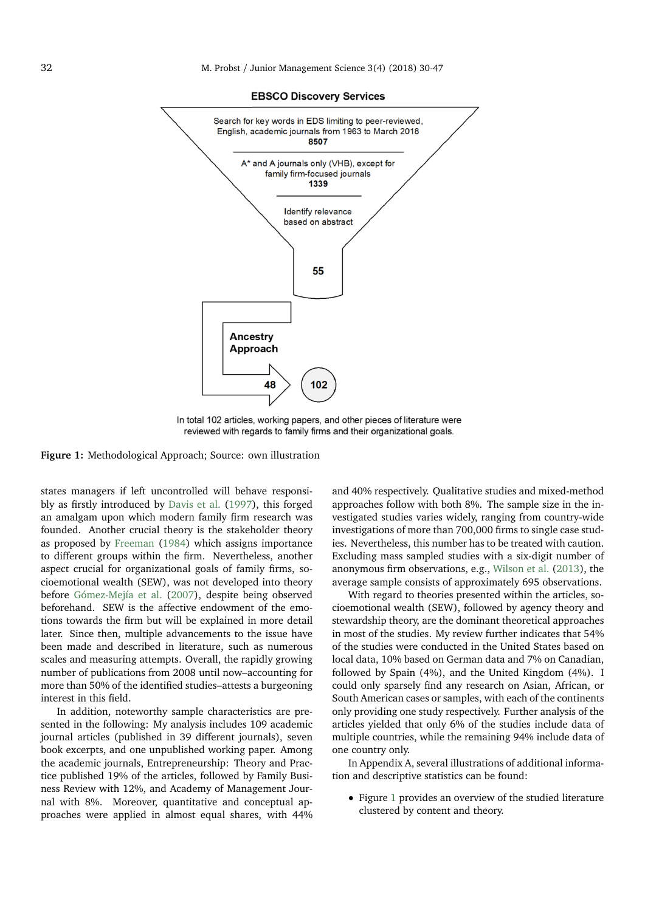<span id="page-2-0"></span>

**EBSCO Discovery Services** 

In total 102 articles, working papers, and other pieces of literature were reviewed with regards to family firms and their organizational goals.

**Figure 1:** Methodological Approach; Source: own illustration

states managers if left uncontrolled will behave responsibly as firstly introduced by [Davis et al.](#page-15-7) [\(1997\)](#page-15-7), this forged an amalgam upon which modern family firm research was founded. Another crucial theory is the stakeholder theory as proposed by [Freeman](#page-15-8) [\(1984\)](#page-15-8) which assigns importance to different groups within the firm. Nevertheless, another aspect crucial for organizational goals of family firms, socioemotional wealth (SEW), was not developed into theory before [Gómez-Mejía et al.](#page-15-0) [\(2007\)](#page-15-0), despite being observed beforehand. SEW is the affective endowment of the emotions towards the firm but will be explained in more detail later. Since then, multiple advancements to the issue have been made and described in literature, such as numerous scales and measuring attempts. Overall, the rapidly growing number of publications from 2008 until now–accounting for more than 50% of the identified studies–attests a burgeoning interest in this field.

In addition, noteworthy sample characteristics are presented in the following: My analysis includes 109 academic journal articles (published in 39 different journals), seven book excerpts, and one unpublished working paper. Among the academic journals, Entrepreneurship: Theory and Practice published 19% of the articles, followed by Family Business Review with 12%, and Academy of Management Journal with 8%. Moreover, quantitative and conceptual approaches were applied in almost equal shares, with 44%

and 40% respectively. Qualitative studies and mixed-method approaches follow with both 8%. The sample size in the investigated studies varies widely, ranging from country-wide investigations of more than 700,000 firms to single case studies. Nevertheless, this number has to be treated with caution. Excluding mass sampled studies with a six-digit number of anonymous firm observations, e.g., [Wilson et al.](#page-17-3) [\(2013\)](#page-17-3), the average sample consists of approximately 695 observations.

With regard to theories presented within the articles, socioemotional wealth (SEW), followed by agency theory and stewardship theory, are the dominant theoretical approaches in most of the studies. My review further indicates that 54% of the studies were conducted in the United States based on local data, 10% based on German data and 7% on Canadian, followed by Spain (4%), and the United Kingdom (4%). I could only sparsely find any research on Asian, African, or South American cases or samples, with each of the continents only providing one study respectively. Further analysis of the articles yielded that only 6% of the studies include data of multiple countries, while the remaining 94% include data of one country only.

In Appendix A, several illustrations of additional information and descriptive statistics can be found:

• Figure [1](#page-2-0) provides an overview of the studied literature clustered by content and theory.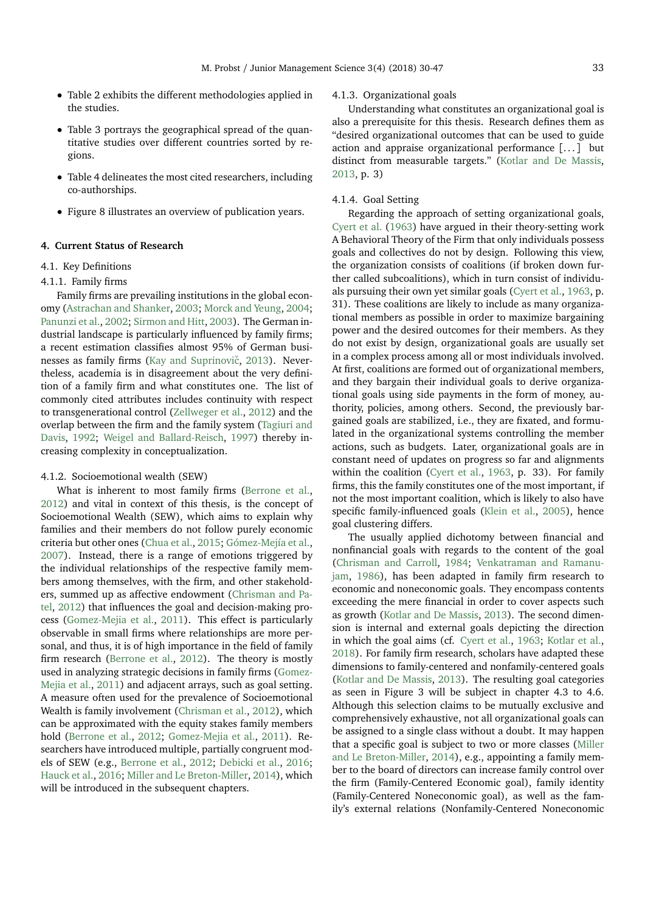- Table 2 exhibits the different methodologies applied in the studies.
- Table 3 portrays the geographical spread of the quantitative studies over different countries sorted by regions.
- Table 4 delineates the most cited researchers, including co-authorships.
- Figure 8 illustrates an overview of publication years.

### **4. Current Status of Research**

## 4.1. Key Definitions

#### 4.1.1. Family firms

Family firms are prevailing institutions in the global economy [\(Astrachan and Shanker,](#page-15-3) [2003;](#page-15-3) [Morck and Yeung,](#page-16-3) [2004;](#page-16-3) [Panunzi et al.,](#page-16-4) [2002;](#page-16-4) [Sirmon and Hitt,](#page-17-4) [2003\)](#page-17-4). The German industrial landscape is particularly influenced by family firms; a recent estimation classifies almost 95% of German busi-nesses as family firms (Kay and Suprinovič, [2013\)](#page-16-5). Nevertheless, academia is in disagreement about the very definition of a family firm and what constitutes one. The list of commonly cited attributes includes continuity with respect to transgenerational control [\(Zellweger et al.,](#page-17-5) [2012\)](#page-17-5) and the overlap between the firm and the family system [\(Tagiuri and](#page-17-6) [Davis,](#page-17-6) [1992;](#page-17-6) [Weigel and Ballard-Reisch,](#page-17-7) [1997\)](#page-17-7) thereby increasing complexity in conceptualization.

#### 4.1.2. Socioemotional wealth (SEW)

What is inherent to most family firms [\(Berrone et al.,](#page-15-9) [2012\)](#page-15-9) and vital in context of this thesis, is the concept of Socioemotional Wealth (SEW), which aims to explain why families and their members do not follow purely economic criteria but other ones [\(Chua et al.,](#page-15-10) [2015;](#page-15-10) [Gómez-Mejía et al.,](#page-15-0) [2007\)](#page-15-0). Instead, there is a range of emotions triggered by the individual relationships of the respective family members among themselves, with the firm, and other stakeholders, summed up as affective endowment [\(Chrisman and Pa](#page-15-11)[tel,](#page-15-11) [2012\)](#page-15-11) that influences the goal and decision-making process [\(Gomez-Mejia et al.,](#page-15-12) [2011\)](#page-15-12). This effect is particularly observable in small firms where relationships are more personal, and thus, it is of high importance in the field of family firm research [\(Berrone et al.,](#page-15-9) [2012\)](#page-15-9). The theory is mostly used in analyzing strategic decisions in family firms [\(Gomez-](#page-15-12)[Mejia et al.,](#page-15-12) [2011\)](#page-15-12) and adjacent arrays, such as goal setting. A measure often used for the prevalence of Socioemotional Wealth is family involvement [\(Chrisman et al.,](#page-15-13) [2012\)](#page-15-13), which can be approximated with the equity stakes family members hold [\(Berrone et al.,](#page-15-9) [2012;](#page-15-9) [Gomez-Mejia et al.,](#page-15-12) [2011\)](#page-15-12). Researchers have introduced multiple, partially congruent models of SEW (e.g., [Berrone et al.,](#page-15-9) [2012;](#page-15-9) [Debicki et al.,](#page-15-14) [2016;](#page-15-14) [Hauck et al.,](#page-16-6) [2016;](#page-16-6) [Miller and Le Breton-Miller,](#page-16-7) [2014\)](#page-16-7), which will be introduced in the subsequent chapters.

## 4.1.3. Organizational goals

Understanding what constitutes an organizational goal is also a prerequisite for this thesis. Research defines them as "desired organizational outcomes that can be used to guide action and appraise organizational performance [. . . ] but distinct from measurable targets." [\(Kotlar and De Massis,](#page-16-8) [2013,](#page-16-8) p. 3)

## 4.1.4. Goal Setting

Regarding the approach of setting organizational goals, [Cyert et al.](#page-15-6) [\(1963\)](#page-15-6) have argued in their theory-setting work A Behavioral Theory of the Firm that only individuals possess goals and collectives do not by design. Following this view, the organization consists of coalitions (if broken down further called subcoalitions), which in turn consist of individuals pursuing their own yet similar goals [\(Cyert et al.,](#page-15-6) [1963,](#page-15-6) p. 31). These coalitions are likely to include as many organizational members as possible in order to maximize bargaining power and the desired outcomes for their members. As they do not exist by design, organizational goals are usually set in a complex process among all or most individuals involved. At first, coalitions are formed out of organizational members, and they bargain their individual goals to derive organizational goals using side payments in the form of money, authority, policies, among others. Second, the previously bargained goals are stabilized, i.e., they are fixated, and formulated in the organizational systems controlling the member actions, such as budgets. Later, organizational goals are in constant need of updates on progress so far and alignments within the coalition [\(Cyert et al.,](#page-15-6) [1963,](#page-15-6) p. 33). For family firms, this the family constitutes one of the most important, if not the most important coalition, which is likely to also have specific family-influenced goals [\(Klein et al.,](#page-16-9) [2005\)](#page-16-9), hence goal clustering differs.

The usually applied dichotomy between financial and nonfinancial goals with regards to the content of the goal [\(Chrisman and Carroll,](#page-15-15) [1984;](#page-15-15) [Venkatraman and Ramanu](#page-17-8)[jam,](#page-17-8) [1986\)](#page-17-8), has been adapted in family firm research to economic and noneconomic goals. They encompass contents exceeding the mere financial in order to cover aspects such as growth [\(Kotlar and De Massis,](#page-16-8) [2013\)](#page-16-8). The second dimension is internal and external goals depicting the direction in which the goal aims (cf. [Cyert et al.,](#page-15-6) [1963;](#page-15-6) [Kotlar et al.,](#page-16-10) [2018\)](#page-16-10). For family firm research, scholars have adapted these dimensions to family-centered and nonfamily-centered goals [\(Kotlar and De Massis,](#page-16-8) [2013\)](#page-16-8). The resulting goal categories as seen in Figure 3 will be subject in chapter 4.3 to 4.6. Although this selection claims to be mutually exclusive and comprehensively exhaustive, not all organizational goals can be assigned to a single class without a doubt. It may happen that a specific goal is subject to two or more classes [\(Miller](#page-16-7) [and Le Breton-Miller,](#page-16-7) [2014\)](#page-16-7), e.g., appointing a family member to the board of directors can increase family control over the firm (Family-Centered Economic goal), family identity (Family-Centered Noneconomic goal), as well as the family's external relations (Nonfamily-Centered Noneconomic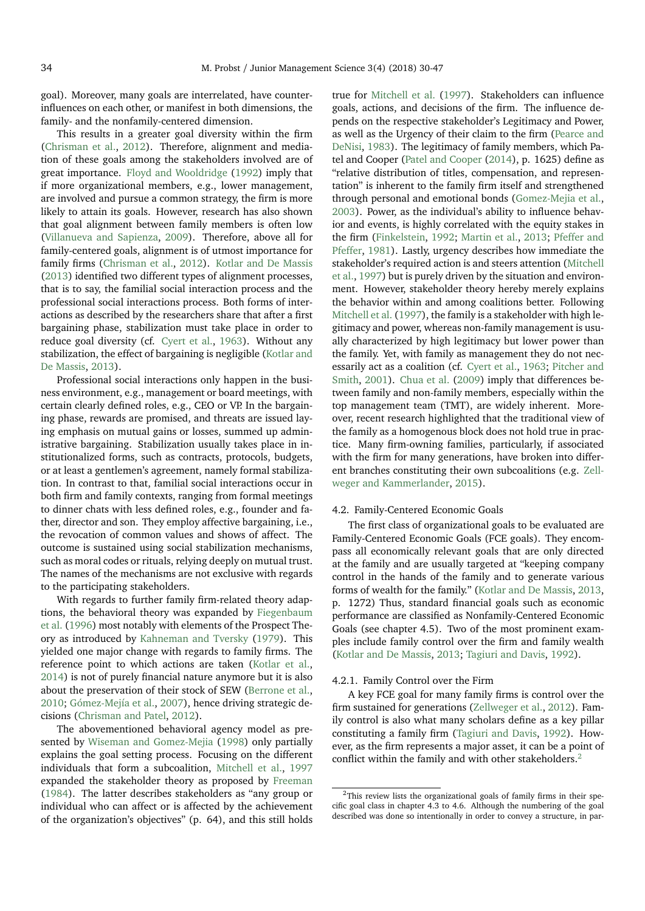goal). Moreover, many goals are interrelated, have counterinfluences on each other, or manifest in both dimensions, the family- and the nonfamily-centered dimension.

This results in a greater goal diversity within the firm [\(Chrisman et al.,](#page-15-13) [2012\)](#page-15-13). Therefore, alignment and mediation of these goals among the stakeholders involved are of great importance. [Floyd and Wooldridge](#page-15-16) [\(1992\)](#page-15-16) imply that if more organizational members, e.g., lower management, are involved and pursue a common strategy, the firm is more likely to attain its goals. However, research has also shown that goal alignment between family members is often low [\(Villanueva and Sapienza,](#page-17-9) [2009\)](#page-17-9). Therefore, above all for family-centered goals, alignment is of utmost importance for family firms [\(Chrisman et al.,](#page-15-13) [2012\)](#page-15-13). [Kotlar and De Massis](#page-16-8) [\(2013\)](#page-16-8) identified two different types of alignment processes, that is to say, the familial social interaction process and the professional social interactions process. Both forms of interactions as described by the researchers share that after a first bargaining phase, stabilization must take place in order to reduce goal diversity (cf. [Cyert et al.,](#page-15-6) [1963\)](#page-15-6). Without any stabilization, the effect of bargaining is negligible [\(Kotlar and](#page-16-8) [De Massis,](#page-16-8) [2013\)](#page-16-8).

Professional social interactions only happen in the business environment, e.g., management or board meetings, with certain clearly defined roles, e.g., CEO or VP. In the bargaining phase, rewards are promised, and threats are issued laying emphasis on mutual gains or losses, summed up administrative bargaining. Stabilization usually takes place in institutionalized forms, such as contracts, protocols, budgets, or at least a gentlemen's agreement, namely formal stabilization. In contrast to that, familial social interactions occur in both firm and family contexts, ranging from formal meetings to dinner chats with less defined roles, e.g., founder and father, director and son. They employ affective bargaining, i.e., the revocation of common values and shows of affect. The outcome is sustained using social stabilization mechanisms, such as moral codes or rituals, relying deeply on mutual trust. The names of the mechanisms are not exclusive with regards to the participating stakeholders.

With regards to further family firm-related theory adaptions, the behavioral theory was expanded by [Fiegenbaum](#page-15-17) [et al.](#page-15-17) [\(1996\)](#page-15-17) most notably with elements of the Prospect Theory as introduced by [Kahneman and Tversky](#page-16-2) [\(1979\)](#page-16-2). This yielded one major change with regards to family firms. The reference point to which actions are taken [\(Kotlar et al.,](#page-16-11) [2014\)](#page-16-11) is not of purely financial nature anymore but it is also about the preservation of their stock of SEW [\(Berrone et al.,](#page-15-18) [2010;](#page-15-18) [Gómez-Mejía et al.,](#page-15-0) [2007\)](#page-15-0), hence driving strategic decisions [\(Chrisman and Patel,](#page-15-11) [2012\)](#page-15-11).

The abovementioned behavioral agency model as presented by [Wiseman and Gomez-Mejia](#page-17-2) [\(1998\)](#page-17-2) only partially explains the goal setting process. Focusing on the different individuals that form a subcoalition, [Mitchell et al.,](#page-16-12) [1997](#page-16-12) expanded the stakeholder theory as proposed by [Freeman](#page-15-8) [\(1984\)](#page-15-8). The latter describes stakeholders as "any group or individual who can affect or is affected by the achievement of the organization's objectives" (p. 64), and this still holds

true for [Mitchell et al.](#page-16-12) [\(1997\)](#page-16-12). Stakeholders can influence goals, actions, and decisions of the firm. The influence depends on the respective stakeholder's Legitimacy and Power, as well as the Urgency of their claim to the firm [\(Pearce and](#page-16-13) [DeNisi,](#page-16-13) [1983\)](#page-16-13). The legitimacy of family members, which Patel and Cooper [\(Patel and Cooper](#page-16-14) [\(2014\)](#page-16-14), p. 1625) define as "relative distribution of titles, compensation, and representation" is inherent to the family firm itself and strengthened through personal and emotional bonds [\(Gomez-Mejia et al.,](#page-15-19) [2003\)](#page-15-19). Power, as the individual's ability to influence behavior and events, is highly correlated with the equity stakes in the firm [\(Finkelstein,](#page-15-20) [1992;](#page-15-20) [Martin et al.,](#page-16-15) [2013;](#page-16-15) [Pfeffer and](#page-16-16) [Pfeffer,](#page-16-16) [1981\)](#page-16-16). Lastly, urgency describes how immediate the stakeholder's required action is and steers attention [\(Mitchell](#page-16-12) [et al.,](#page-16-12) [1997\)](#page-16-12) but is purely driven by the situation and environment. However, stakeholder theory hereby merely explains the behavior within and among coalitions better. Following [Mitchell et al.](#page-16-12) [\(1997\)](#page-16-12), the family is a stakeholder with high legitimacy and power, whereas non-family management is usually characterized by high legitimacy but lower power than the family. Yet, with family as management they do not necessarily act as a coalition (cf. [Cyert et al.,](#page-15-6) [1963;](#page-15-6) [Pitcher and](#page-17-10) [Smith,](#page-17-10) [2001\)](#page-17-10). [Chua et al.](#page-15-21) [\(2009\)](#page-15-21) imply that differences between family and non-family members, especially within the top management team (TMT), are widely inherent. Moreover, recent research highlighted that the traditional view of the family as a homogenous block does not hold true in practice. Many firm-owning families, particularly, if associated with the firm for many generations, have broken into different branches constituting their own subcoalitions (e.g. [Zell](#page-17-11)[weger and Kammerlander,](#page-17-11) [2015\)](#page-17-11).

## 4.2. Family-Centered Economic Goals

The first class of organizational goals to be evaluated are Family-Centered Economic Goals (FCE goals). They encompass all economically relevant goals that are only directed at the family and are usually targeted at "keeping company control in the hands of the family and to generate various forms of wealth for the family." [\(Kotlar and De Massis,](#page-16-8) [2013,](#page-16-8) p. 1272) Thus, standard financial goals such as economic performance are classified as Nonfamily-Centered Economic Goals (see chapter 4.5). Two of the most prominent examples include family control over the firm and family wealth [\(Kotlar and De Massis,](#page-16-8) [2013;](#page-16-8) [Tagiuri and Davis,](#page-17-6) [1992\)](#page-17-6).

## 4.2.1. Family Control over the Firm

A key FCE goal for many family firms is control over the firm sustained for generations [\(Zellweger et al.,](#page-17-5) [2012\)](#page-17-5). Family control is also what many scholars define as a key pillar constituting a family firm [\(Tagiuri and Davis,](#page-17-6) [1992\)](#page-17-6). However, as the firm represents a major asset, it can be a point of conflict within the family and with other stakeholders.<sup>[2](#page-4-0)</sup>

<span id="page-4-0"></span><sup>&</sup>lt;sup>2</sup>This review lists the organizational goals of family firms in their specific goal class in chapter 4.3 to 4.6. Although the numbering of the goal described was done so intentionally in order to convey a structure, in par-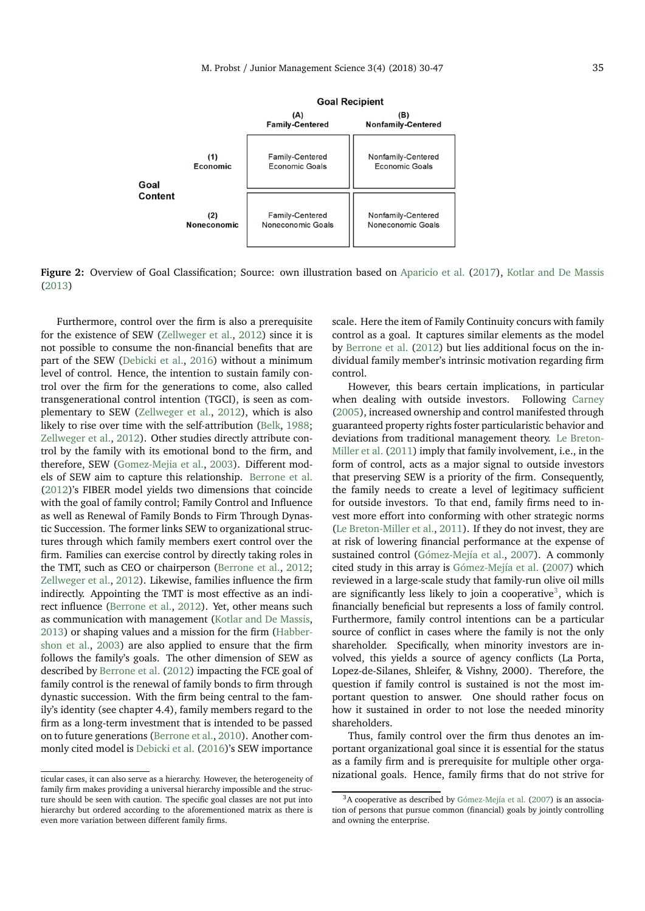

Figure 2: Overview of Goal Classification; Source: own illustration based on [Aparicio et al.](#page-15-2) [\(2017\)](#page-15-2), [Kotlar and De Massis](#page-16-8) [\(2013\)](#page-16-8)

Furthermore, control over the firm is also a prerequisite for the existence of SEW [\(Zellweger et al.,](#page-17-5) [2012\)](#page-17-5) since it is not possible to consume the non-financial benefits that are part of the SEW [\(Debicki et al.,](#page-15-14) [2016\)](#page-15-14) without a minimum level of control. Hence, the intention to sustain family control over the firm for the generations to come, also called transgenerational control intention (TGCI), is seen as complementary to SEW [\(Zellweger et al.,](#page-17-5) [2012\)](#page-17-5), which is also likely to rise over time with the self-attribution [\(Belk,](#page-15-22) [1988;](#page-15-22) [Zellweger et al.,](#page-17-5) [2012\)](#page-17-5). Other studies directly attribute control by the family with its emotional bond to the firm, and therefore, SEW [\(Gomez-Mejia et al.,](#page-15-19) [2003\)](#page-15-19). Different models of SEW aim to capture this relationship. [Berrone et al.](#page-15-9) [\(2012\)](#page-15-9)'s FIBER model yields two dimensions that coincide with the goal of family control; Family Control and Influence as well as Renewal of Family Bonds to Firm Through Dynastic Succession. The former links SEW to organizational structures through which family members exert control over the firm. Families can exercise control by directly taking roles in the TMT, such as CEO or chairperson [\(Berrone et al.,](#page-15-9) [2012;](#page-15-9) [Zellweger et al.,](#page-17-5) [2012\)](#page-17-5). Likewise, families influence the firm indirectly. Appointing the TMT is most effective as an indirect influence [\(Berrone et al.,](#page-15-9) [2012\)](#page-15-9). Yet, other means such as communication with management [\(Kotlar and De Massis,](#page-16-8) [2013\)](#page-16-8) or shaping values and a mission for the firm [\(Habber](#page-16-17)[shon et al.,](#page-16-17) [2003\)](#page-16-17) are also applied to ensure that the firm follows the family's goals. The other dimension of SEW as described by [Berrone et al.](#page-15-9) [\(2012\)](#page-15-9) impacting the FCE goal of family control is the renewal of family bonds to firm through dynastic succession. With the firm being central to the family's identity (see chapter 4.4), family members regard to the firm as a long-term investment that is intended to be passed on to future generations [\(Berrone et al.,](#page-15-18) [2010\)](#page-15-18). Another commonly cited model is [Debicki et al.](#page-15-14) [\(2016\)](#page-15-14)'s SEW importance scale. Here the item of Family Continuity concurs with family control as a goal. It captures similar elements as the model by [Berrone et al.](#page-15-9) [\(2012\)](#page-15-9) but lies additional focus on the individual family member's intrinsic motivation regarding firm control.

However, this bears certain implications, in particular when dealing with outside investors. Following [Carney](#page-15-23) [\(2005\)](#page-15-23), increased ownership and control manifested through guaranteed property rights foster particularistic behavior and deviations from traditional management theory. [Le Breton-](#page-16-18)[Miller et al.](#page-16-18) [\(2011\)](#page-16-18) imply that family involvement, i.e., in the form of control, acts as a major signal to outside investors that preserving SEW is a priority of the firm. Consequently, the family needs to create a level of legitimacy sufficient for outside investors. To that end, family firms need to invest more effort into conforming with other strategic norms [\(Le Breton-Miller et al.,](#page-16-18) [2011\)](#page-16-18). If they do not invest, they are at risk of lowering financial performance at the expense of sustained control [\(Gómez-Mejía et al.,](#page-15-0) [2007\)](#page-15-0). A commonly cited study in this array is [Gómez-Mejía et al.](#page-15-0) [\(2007\)](#page-15-0) which reviewed in a large-scale study that family-run olive oil mills are significantly less likely to join a cooperative<sup>[3](#page-5-0)</sup>, which is financially beneficial but represents a loss of family control. Furthermore, family control intentions can be a particular source of conflict in cases where the family is not the only shareholder. Specifically, when minority investors are involved, this yields a source of agency conflicts (La Porta, Lopez-de-Silanes, Shleifer, & Vishny, 2000). Therefore, the question if family control is sustained is not the most important question to answer. One should rather focus on how it sustained in order to not lose the needed minority shareholders.

Thus, family control over the firm thus denotes an important organizational goal since it is essential for the status as a family firm and is prerequisite for multiple other organizational goals. Hence, family firms that do not strive for

ticular cases, it can also serve as a hierarchy. However, the heterogeneity of family firm makes providing a universal hierarchy impossible and the structure should be seen with caution. The specific goal classes are not put into hierarchy but ordered according to the aforementioned matrix as there is even more variation between different family firms.

<span id="page-5-0"></span><sup>3</sup>A cooperative as described by [Gómez-Mejía et al.](#page-15-0) [\(2007\)](#page-15-0) is an association of persons that pursue common (financial) goals by jointly controlling and owning the enterprise.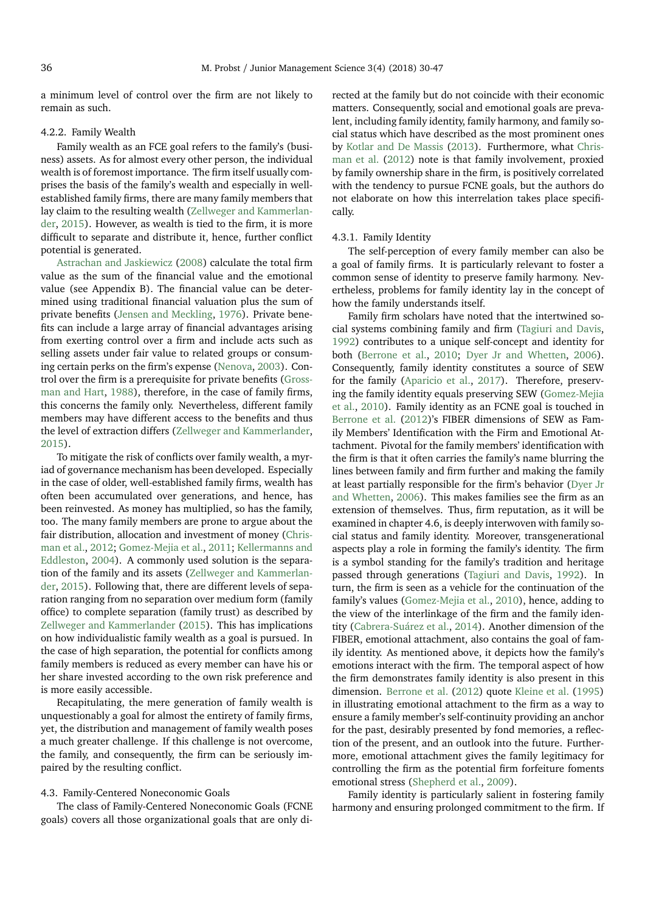a minimum level of control over the firm are not likely to remain as such.

#### 4.2.2. Family Wealth

Family wealth as an FCE goal refers to the family's (business) assets. As for almost every other person, the individual wealth is of foremost importance. The firm itself usually comprises the basis of the family's wealth and especially in wellestablished family firms, there are many family members that lay claim to the resulting wealth [\(Zellweger and Kammerlan](#page-17-11)[der,](#page-17-11) [2015\)](#page-17-11). However, as wealth is tied to the firm, it is more difficult to separate and distribute it, hence, further conflict potential is generated.

[Astrachan and Jaskiewicz](#page-15-24) [\(2008\)](#page-15-24) calculate the total firm value as the sum of the financial value and the emotional value (see Appendix B). The financial value can be determined using traditional financial valuation plus the sum of private benefits [\(Jensen and Meckling,](#page-16-1) [1976\)](#page-16-1). Private benefits can include a large array of financial advantages arising from exerting control over a firm and include acts such as selling assets under fair value to related groups or consuming certain perks on the firm's expense [\(Nenova,](#page-16-19) [2003\)](#page-16-19). Control over the firm is a prerequisite for private benefits [\(Gross](#page-16-20)[man and Hart,](#page-16-20) [1988\)](#page-16-20), therefore, in the case of family firms, this concerns the family only. Nevertheless, different family members may have different access to the benefits and thus the level of extraction differs [\(Zellweger and Kammerlander,](#page-17-11) [2015\)](#page-17-11).

To mitigate the risk of conflicts over family wealth, a myriad of governance mechanism has been developed. Especially in the case of older, well-established family firms, wealth has often been accumulated over generations, and hence, has been reinvested. As money has multiplied, so has the family, too. The many family members are prone to argue about the fair distribution, allocation and investment of money [\(Chris](#page-15-13)[man et al.,](#page-15-13) [2012;](#page-15-13) [Gomez-Mejia et al.,](#page-15-12) [2011;](#page-15-12) [Kellermanns and](#page-16-21) [Eddleston,](#page-16-21) [2004\)](#page-16-21). A commonly used solution is the separation of the family and its assets [\(Zellweger and Kammerlan](#page-17-11)[der,](#page-17-11) [2015\)](#page-17-11). Following that, there are different levels of separation ranging from no separation over medium form (family office) to complete separation (family trust) as described by [Zellweger and Kammerlander](#page-17-11) [\(2015\)](#page-17-11). This has implications on how individualistic family wealth as a goal is pursued. In the case of high separation, the potential for conflicts among family members is reduced as every member can have his or her share invested according to the own risk preference and is more easily accessible.

Recapitulating, the mere generation of family wealth is unquestionably a goal for almost the entirety of family firms, yet, the distribution and management of family wealth poses a much greater challenge. If this challenge is not overcome, the family, and consequently, the firm can be seriously impaired by the resulting conflict.

#### 4.3. Family-Centered Noneconomic Goals

The class of Family-Centered Noneconomic Goals (FCNE goals) covers all those organizational goals that are only directed at the family but do not coincide with their economic matters. Consequently, social and emotional goals are prevalent, including family identity, family harmony, and family social status which have described as the most prominent ones by [Kotlar and De Massis](#page-16-8) [\(2013\)](#page-16-8). Furthermore, what [Chris](#page-15-13)[man et al.](#page-15-13) [\(2012\)](#page-15-13) note is that family involvement, proxied by family ownership share in the firm, is positively correlated with the tendency to pursue FCNE goals, but the authors do not elaborate on how this interrelation takes place specifically.

#### 4.3.1. Family Identity

The self-perception of every family member can also be a goal of family firms. It is particularly relevant to foster a common sense of identity to preserve family harmony. Nevertheless, problems for family identity lay in the concept of how the family understands itself.

Family firm scholars have noted that the intertwined social systems combining family and firm [\(Tagiuri and Davis,](#page-17-6) [1992\)](#page-17-6) contributes to a unique self-concept and identity for both [\(Berrone et al.,](#page-15-18) [2010;](#page-15-18) [Dyer Jr and Whetten,](#page-15-25) [2006\)](#page-15-25). Consequently, family identity constitutes a source of SEW for the family [\(Aparicio et al.,](#page-15-2) [2017\)](#page-15-2). Therefore, preserving the family identity equals preserving SEW [\(Gomez-Mejia](#page-15-26) [et al.,](#page-15-26) [2010\)](#page-15-26). Family identity as an FCNE goal is touched in [Berrone et al.](#page-15-9) [\(2012\)](#page-15-9)'s FIBER dimensions of SEW as Family Members' Identification with the Firm and Emotional Attachment. Pivotal for the family members' identification with the firm is that it often carries the family's name blurring the lines between family and firm further and making the family at least partially responsible for the firm's behavior [\(Dyer Jr](#page-15-25) [and Whetten,](#page-15-25) [2006\)](#page-15-25). This makes families see the firm as an extension of themselves. Thus, firm reputation, as it will be examined in chapter 4.6, is deeply interwoven with family social status and family identity. Moreover, transgenerational aspects play a role in forming the family's identity. The firm is a symbol standing for the family's tradition and heritage passed through generations [\(Tagiuri and Davis,](#page-17-6) [1992\)](#page-17-6). In turn, the firm is seen as a vehicle for the continuation of the family's values [\(Gomez-Mejia et al.,](#page-15-26) [2010\)](#page-15-26), hence, adding to the view of the interlinkage of the firm and the family identity [\(Cabrera-Suárez et al.,](#page-15-27) [2014\)](#page-15-27). Another dimension of the FIBER, emotional attachment, also contains the goal of family identity. As mentioned above, it depicts how the family's emotions interact with the firm. The temporal aspect of how the firm demonstrates family identity is also present in this dimension. [Berrone et al.](#page-15-9) [\(2012\)](#page-15-9) quote [Kleine et al.](#page-16-22) [\(1995\)](#page-16-22) in illustrating emotional attachment to the firm as a way to ensure a family member's self-continuity providing an anchor for the past, desirably presented by fond memories, a reflection of the present, and an outlook into the future. Furthermore, emotional attachment gives the family legitimacy for controlling the firm as the potential firm forfeiture foments emotional stress [\(Shepherd et al.,](#page-17-0) [2009\)](#page-17-0).

Family identity is particularly salient in fostering family harmony and ensuring prolonged commitment to the firm. If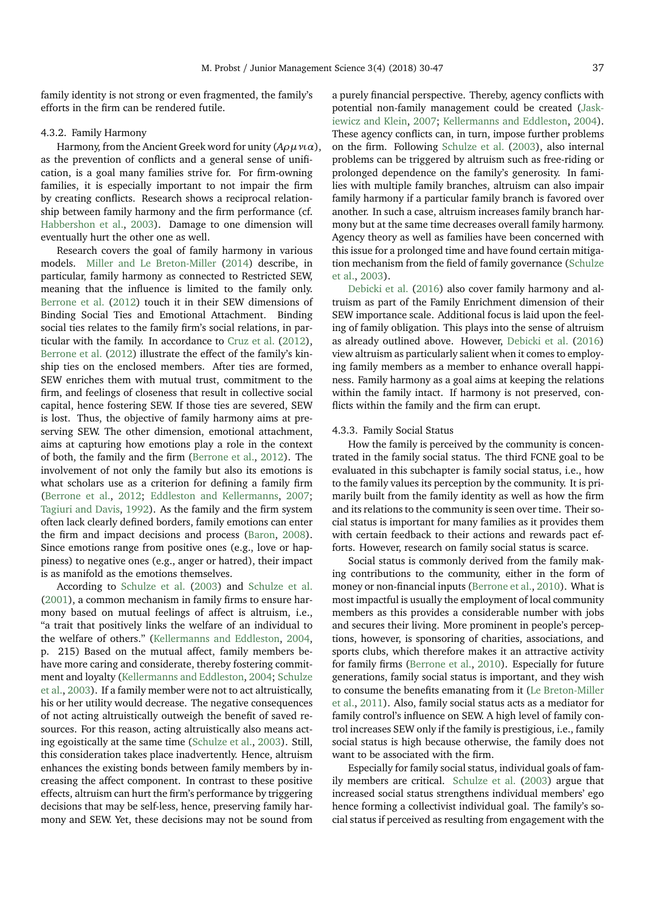family identity is not strong or even fragmented, the family's efforts in the firm can be rendered futile.

#### 4.3.2. Family Harmony

Harmony, from the Ancient Greek word for unity (*Aρµνια*), as the prevention of conflicts and a general sense of unification, is a goal many families strive for. For firm-owning families, it is especially important to not impair the firm by creating conflicts. Research shows a reciprocal relationship between family harmony and the firm performance (cf. [Habbershon et al.,](#page-16-17) [2003\)](#page-16-17). Damage to one dimension will eventually hurt the other one as well.

Research covers the goal of family harmony in various models. [Miller and Le Breton-Miller](#page-16-7) [\(2014\)](#page-16-7) describe, in particular, family harmony as connected to Restricted SEW, meaning that the influence is limited to the family only. [Berrone et al.](#page-15-9) [\(2012\)](#page-15-9) touch it in their SEW dimensions of Binding Social Ties and Emotional Attachment. Binding social ties relates to the family firm's social relations, in particular with the family. In accordance to [Cruz et al.](#page-15-28) [\(2012\)](#page-15-28), [Berrone et al.](#page-15-9) [\(2012\)](#page-15-9) illustrate the effect of the family's kinship ties on the enclosed members. After ties are formed, SEW enriches them with mutual trust, commitment to the firm, and feelings of closeness that result in collective social capital, hence fostering SEW. If those ties are severed, SEW is lost. Thus, the objective of family harmony aims at preserving SEW. The other dimension, emotional attachment, aims at capturing how emotions play a role in the context of both, the family and the firm [\(Berrone et al.,](#page-15-9) [2012\)](#page-15-9). The involvement of not only the family but also its emotions is what scholars use as a criterion for defining a family firm [\(Berrone et al.,](#page-15-9) [2012;](#page-15-9) [Eddleston and Kellermanns,](#page-15-29) [2007;](#page-15-29) [Tagiuri and Davis,](#page-17-6) [1992\)](#page-17-6). As the family and the firm system often lack clearly defined borders, family emotions can enter the firm and impact decisions and process [\(Baron,](#page-15-30) [2008\)](#page-15-30). Since emotions range from positive ones (e.g., love or happiness) to negative ones (e.g., anger or hatred), their impact is as manifold as the emotions themselves.

According to [Schulze et al.](#page-17-12) [\(2003\)](#page-17-12) and [Schulze et al.](#page-17-13) [\(2001\)](#page-17-13), a common mechanism in family firms to ensure harmony based on mutual feelings of affect is altruism, i.e., "a trait that positively links the welfare of an individual to the welfare of others." [\(Kellermanns and Eddleston,](#page-16-21) [2004,](#page-16-21) p. 215) Based on the mutual affect, family members behave more caring and considerate, thereby fostering commitment and loyalty [\(Kellermanns and Eddleston,](#page-16-21) [2004;](#page-16-21) [Schulze](#page-17-12) [et al.,](#page-17-12) [2003\)](#page-17-12). If a family member were not to act altruistically, his or her utility would decrease. The negative consequences of not acting altruistically outweigh the benefit of saved resources. For this reason, acting altruistically also means acting egoistically at the same time [\(Schulze et al.,](#page-17-12) [2003\)](#page-17-12). Still, this consideration takes place inadvertently. Hence, altruism enhances the existing bonds between family members by increasing the affect component. In contrast to these positive effects, altruism can hurt the firm's performance by triggering decisions that may be self-less, hence, preserving family harmony and SEW. Yet, these decisions may not be sound from

a purely financial perspective. Thereby, agency conflicts with potential non-family management could be created [\(Jask](#page-16-23)[iewicz and Klein,](#page-16-23) [2007;](#page-16-23) [Kellermanns and Eddleston,](#page-16-21) [2004\)](#page-16-21). These agency conflicts can, in turn, impose further problems on the firm. Following [Schulze et al.](#page-17-12) [\(2003\)](#page-17-12), also internal problems can be triggered by altruism such as free-riding or prolonged dependence on the family's generosity. In families with multiple family branches, altruism can also impair family harmony if a particular family branch is favored over another. In such a case, altruism increases family branch harmony but at the same time decreases overall family harmony. Agency theory as well as families have been concerned with this issue for a prolonged time and have found certain mitigation mechanism from the field of family governance [\(Schulze](#page-17-12) [et al.,](#page-17-12) [2003\)](#page-17-12).

[Debicki et al.](#page-15-14) [\(2016\)](#page-15-14) also cover family harmony and altruism as part of the Family Enrichment dimension of their SEW importance scale. Additional focus is laid upon the feeling of family obligation. This plays into the sense of altruism as already outlined above. However, [Debicki et al.](#page-15-14) [\(2016\)](#page-15-14) view altruism as particularly salient when it comes to employing family members as a member to enhance overall happiness. Family harmony as a goal aims at keeping the relations within the family intact. If harmony is not preserved, conflicts within the family and the firm can erupt.

### 4.3.3. Family Social Status

How the family is perceived by the community is concentrated in the family social status. The third FCNE goal to be evaluated in this subchapter is family social status, i.e., how to the family values its perception by the community. It is primarily built from the family identity as well as how the firm and its relations to the community is seen over time. Their social status is important for many families as it provides them with certain feedback to their actions and rewards pact efforts. However, research on family social status is scarce.

Social status is commonly derived from the family making contributions to the community, either in the form of money or non-financial inputs [\(Berrone et al.,](#page-15-18) [2010\)](#page-15-18). What is most impactful is usually the employment of local community members as this provides a considerable number with jobs and secures their living. More prominent in people's perceptions, however, is sponsoring of charities, associations, and sports clubs, which therefore makes it an attractive activity for family firms [\(Berrone et al.,](#page-15-18) [2010\)](#page-15-18). Especially for future generations, family social status is important, and they wish to consume the benefits emanating from it [\(Le Breton-Miller](#page-16-18) [et al.,](#page-16-18) [2011\)](#page-16-18). Also, family social status acts as a mediator for family control's influence on SEW. A high level of family control increases SEW only if the family is prestigious, i.e., family social status is high because otherwise, the family does not want to be associated with the firm.

Especially for family social status, individual goals of family members are critical. [Schulze et al.](#page-17-12) [\(2003\)](#page-17-12) argue that increased social status strengthens individual members' ego hence forming a collectivist individual goal. The family's social status if perceived as resulting from engagement with the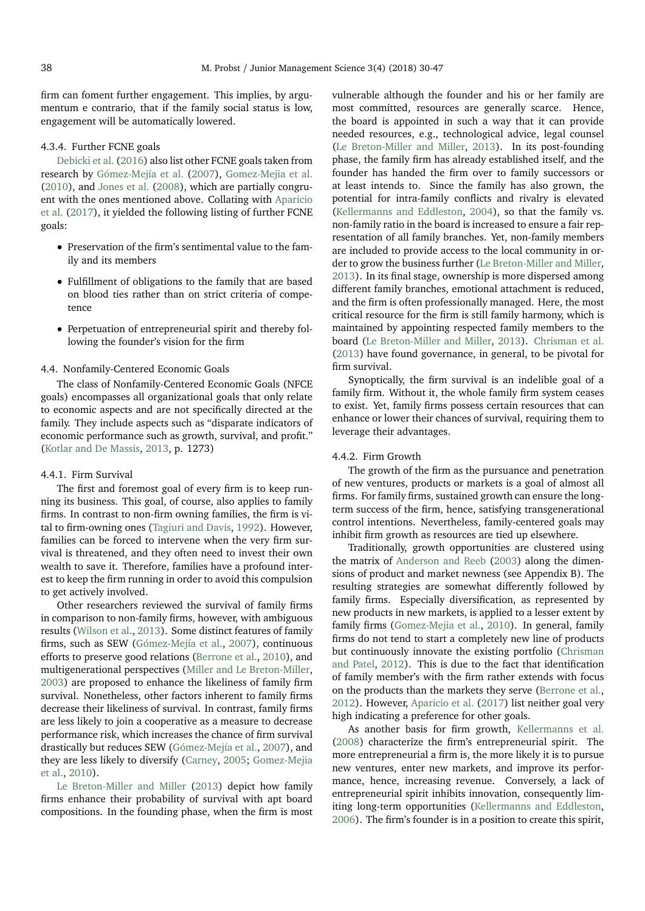firm can foment further engagement. This implies, by argumentum e contrario, that if the family social status is low, engagement will be automatically lowered.

## 4.3.4. Further FCNE goals

[Debicki et al.](#page-15-14) [\(2016\)](#page-15-14) also list other FCNE goals taken from research by [Gómez-Mejía et al.](#page-15-0) [\(2007\)](#page-15-0), [Gomez-Mejia et al.](#page-15-26) [\(2010\)](#page-15-26), and [Jones et al.](#page-16-24) [\(2008\)](#page-16-24), which are partially congruent with the ones mentioned above. Collating with [Aparicio](#page-15-2) [et al.](#page-15-2) [\(2017\)](#page-15-2), it yielded the following listing of further FCNE goals:

- Preservation of the firm's sentimental value to the family and its members
- Fulfillment of obligations to the family that are based on blood ties rather than on strict criteria of competence
- Perpetuation of entrepreneurial spirit and thereby following the founder's vision for the firm

#### 4.4. Nonfamily-Centered Economic Goals

The class of Nonfamily-Centered Economic Goals (NFCE goals) encompasses all organizational goals that only relate to economic aspects and are not specifically directed at the family. They include aspects such as "disparate indicators of economic performance such as growth, survival, and profit." [\(Kotlar and De Massis,](#page-16-8) [2013,](#page-16-8) p. 1273)

## 4.4.1. Firm Survival

The first and foremost goal of every firm is to keep running its business. This goal, of course, also applies to family firms. In contrast to non-firm owning families, the firm is vital to firm-owning ones [\(Tagiuri and Davis,](#page-17-6) [1992\)](#page-17-6). However, families can be forced to intervene when the very firm survival is threatened, and they often need to invest their own wealth to save it. Therefore, families have a profound interest to keep the firm running in order to avoid this compulsion to get actively involved.

Other researchers reviewed the survival of family firms in comparison to non-family firms, however, with ambiguous results [\(Wilson et al.,](#page-17-3) [2013\)](#page-17-3). Some distinct features of family firms, such as SEW [\(Gómez-Mejía et al.,](#page-15-0) [2007\)](#page-15-0), continuous efforts to preserve good relations [\(Berrone et al.,](#page-15-18) [2010\)](#page-15-18), and multigenerational perspectives [\(Miller and Le Breton-Miller,](#page-16-25) [2003\)](#page-16-25) are proposed to enhance the likeliness of family firm survival. Nonetheless, other factors inherent to family firms decrease their likeliness of survival. In contrast, family firms are less likely to join a cooperative as a measure to decrease performance risk, which increases the chance of firm survival drastically but reduces SEW [\(Gómez-Mejía et al.,](#page-15-0) [2007\)](#page-15-0), and they are less likely to diversify [\(Carney,](#page-15-23) [2005;](#page-15-23) [Gomez-Mejia](#page-15-26) [et al.,](#page-15-26) [2010\)](#page-15-26).

[Le Breton-Miller and Miller](#page-16-26) [\(2013\)](#page-16-26) depict how family firms enhance their probability of survival with apt board compositions. In the founding phase, when the firm is most vulnerable although the founder and his or her family are most committed, resources are generally scarce. Hence, the board is appointed in such a way that it can provide needed resources, e.g., technological advice, legal counsel [\(Le Breton-Miller and Miller,](#page-16-26) [2013\)](#page-16-26). In its post-founding phase, the family firm has already established itself, and the founder has handed the firm over to family successors or at least intends to. Since the family has also grown, the potential for intra-family conflicts and rivalry is elevated [\(Kellermanns and Eddleston,](#page-16-21) [2004\)](#page-16-21), so that the family vs. non-family ratio in the board is increased to ensure a fair representation of all family branches. Yet, non-family members are included to provide access to the local community in order to grow the business further [\(Le Breton-Miller and Miller,](#page-16-26) [2013\)](#page-16-26). In its final stage, ownership is more dispersed among different family branches, emotional attachment is reduced, and the firm is often professionally managed. Here, the most critical resource for the firm is still family harmony, which is maintained by appointing respected family members to the board [\(Le Breton-Miller and Miller,](#page-16-26) [2013\)](#page-16-26). [Chrisman et al.](#page-15-31) [\(2013\)](#page-15-31) have found governance, in general, to be pivotal for firm survival.

Synoptically, the firm survival is an indelible goal of a family firm. Without it, the whole family firm system ceases to exist. Yet, family firms possess certain resources that can enhance or lower their chances of survival, requiring them to leverage their advantages.

## 4.4.2. Firm Growth

The growth of the firm as the pursuance and penetration of new ventures, products or markets is a goal of almost all firms. For family firms, sustained growth can ensure the longterm success of the firm, hence, satisfying transgenerational control intentions. Nevertheless, family-centered goals may inhibit firm growth as resources are tied up elsewhere.

Traditionally, growth opportunities are clustered using the matrix of [Anderson and Reeb](#page-15-32) [\(2003\)](#page-15-32) along the dimensions of product and market newness (see Appendix B). The resulting strategies are somewhat differently followed by family firms. Especially diversification, as represented by new products in new markets, is applied to a lesser extent by family firms [\(Gomez-Mejia et al.,](#page-15-26) [2010\)](#page-15-26). In general, family firms do not tend to start a completely new line of products but continuously innovate the existing portfolio [\(Chrisman](#page-15-11) [and Patel,](#page-15-11) [2012\)](#page-15-11). This is due to the fact that identification of family member's with the firm rather extends with focus on the products than the markets they serve [\(Berrone et al.,](#page-15-9) [2012\)](#page-15-9). However, [Aparicio et al.](#page-15-2) [\(2017\)](#page-15-2) list neither goal very high indicating a preference for other goals.

As another basis for firm growth, [Kellermanns et al.](#page-16-27) [\(2008\)](#page-16-27) characterize the firm's entrepreneurial spirit. The more entrepreneurial a firm is, the more likely it is to pursue new ventures, enter new markets, and improve its performance, hence, increasing revenue. Conversely, a lack of entrepreneurial spirit inhibits innovation, consequently limiting long-term opportunities [\(Kellermanns and Eddleston,](#page-16-28) [2006\)](#page-16-28). The firm's founder is in a position to create this spirit,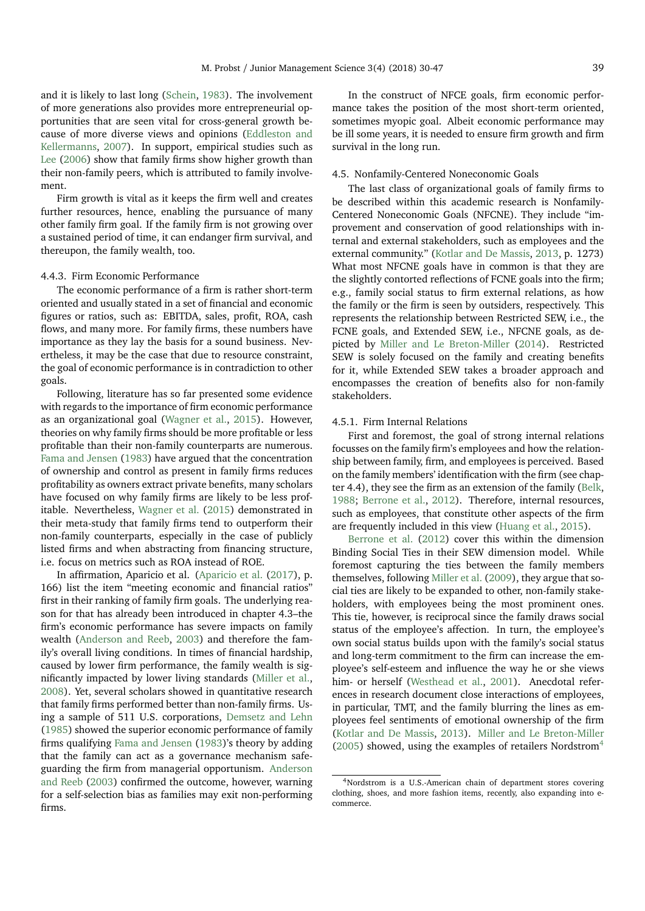and it is likely to last long [\(Schein,](#page-17-14) [1983\)](#page-17-14). The involvement of more generations also provides more entrepreneurial op-

portunities that are seen vital for cross-general growth because of more diverse views and opinions [\(Eddleston and](#page-15-29) [Kellermanns,](#page-15-29) [2007\)](#page-15-29). In support, empirical studies such as [Lee](#page-16-29) [\(2006\)](#page-16-29) show that family firms show higher growth than their non-family peers, which is attributed to family involvement.

Firm growth is vital as it keeps the firm well and creates further resources, hence, enabling the pursuance of many other family firm goal. If the family firm is not growing over a sustained period of time, it can endanger firm survival, and thereupon, the family wealth, too.

## 4.4.3. Firm Economic Performance

The economic performance of a firm is rather short-term oriented and usually stated in a set of financial and economic figures or ratios, such as: EBITDA, sales, profit, ROA, cash flows, and many more. For family firms, these numbers have importance as they lay the basis for a sound business. Nevertheless, it may be the case that due to resource constraint, the goal of economic performance is in contradiction to other goals.

Following, literature has so far presented some evidence with regards to the importance of firm economic performance as an organizational goal [\(Wagner et al.,](#page-17-15) [2015\)](#page-17-15). However, theories on why family firms should be more profitable or less profitable than their non-family counterparts are numerous. [Fama and Jensen](#page-15-33) [\(1983\)](#page-15-33) have argued that the concentration of ownership and control as present in family firms reduces profitability as owners extract private benefits, many scholars have focused on why family firms are likely to be less profitable. Nevertheless, [Wagner et al.](#page-17-15) [\(2015\)](#page-17-15) demonstrated in their meta-study that family firms tend to outperform their non-family counterparts, especially in the case of publicly listed firms and when abstracting from financing structure, i.e. focus on metrics such as ROA instead of ROE.

In affirmation, Aparicio et al. [\(Aparicio et al.](#page-15-2) [\(2017\)](#page-15-2), p. 166) list the item "meeting economic and financial ratios" first in their ranking of family firm goals. The underlying reason for that has already been introduced in chapter 4.3–the firm's economic performance has severe impacts on family wealth [\(Anderson and Reeb,](#page-15-32) [2003\)](#page-15-32) and therefore the family's overall living conditions. In times of financial hardship, caused by lower firm performance, the family wealth is significantly impacted by lower living standards [\(Miller et al.,](#page-16-30) [2008\)](#page-16-30). Yet, several scholars showed in quantitative research that family firms performed better than non-family firms. Using a sample of 511 U.S. corporations, [Demsetz and Lehn](#page-15-34) [\(1985\)](#page-15-34) showed the superior economic performance of family firms qualifying [Fama and Jensen](#page-15-33) [\(1983\)](#page-15-33)'s theory by adding that the family can act as a governance mechanism safeguarding the firm from managerial opportunism. [Anderson](#page-15-32) [and Reeb](#page-15-32) [\(2003\)](#page-15-32) confirmed the outcome, however, warning for a self-selection bias as families may exit non-performing firms.

In the construct of NFCE goals, firm economic performance takes the position of the most short-term oriented, sometimes myopic goal. Albeit economic performance may be ill some years, it is needed to ensure firm growth and firm survival in the long run.

## 4.5. Nonfamily-Centered Noneconomic Goals

The last class of organizational goals of family firms to be described within this academic research is Nonfamily-Centered Noneconomic Goals (NFCNE). They include "improvement and conservation of good relationships with internal and external stakeholders, such as employees and the external community." [\(Kotlar and De Massis,](#page-16-8) [2013,](#page-16-8) p. 1273) What most NFCNE goals have in common is that they are the slightly contorted reflections of FCNE goals into the firm; e.g., family social status to firm external relations, as how the family or the firm is seen by outsiders, respectively. This represents the relationship between Restricted SEW, i.e., the FCNE goals, and Extended SEW, i.e., NFCNE goals, as depicted by [Miller and Le Breton-Miller](#page-16-7) [\(2014\)](#page-16-7). Restricted SEW is solely focused on the family and creating benefits for it, while Extended SEW takes a broader approach and encompasses the creation of benefits also for non-family stakeholders.

## 4.5.1. Firm Internal Relations

First and foremost, the goal of strong internal relations focusses on the family firm's employees and how the relationship between family, firm, and employees is perceived. Based on the family members' identification with the firm (see chapter 4.4), they see the firm as an extension of the family [\(Belk,](#page-15-22) [1988;](#page-15-22) [Berrone et al.,](#page-15-9) [2012\)](#page-15-9). Therefore, internal resources, such as employees, that constitute other aspects of the firm are frequently included in this view [\(Huang et al.,](#page-16-31) [2015\)](#page-16-31).

[Berrone et al.](#page-15-9) [\(2012\)](#page-15-9) cover this within the dimension Binding Social Ties in their SEW dimension model. While foremost capturing the ties between the family members themselves, following [Miller et al.](#page-16-32) [\(2009\)](#page-16-32), they argue that social ties are likely to be expanded to other, non-family stakeholders, with employees being the most prominent ones. This tie, however, is reciprocal since the family draws social status of the employee's affection. In turn, the employee's own social status builds upon with the family's social status and long-term commitment to the firm can increase the employee's self-esteem and influence the way he or she views him- or herself [\(Westhead et al.,](#page-17-16) [2001\)](#page-17-16). Anecdotal references in research document close interactions of employees, in particular, TMT, and the family blurring the lines as employees feel sentiments of emotional ownership of the firm [\(Kotlar and De Massis,](#page-16-8) [2013\)](#page-16-8). [Miller and Le Breton-Miller](#page-16-33) [\(2005\)](#page-16-33) showed, using the examples of retailers Nordstrom<sup>[4](#page-9-0)</sup>

<span id="page-9-0"></span><sup>4</sup>Nordstrom is a U.S.-American chain of department stores covering clothing, shoes, and more fashion items, recently, also expanding into ecommerce.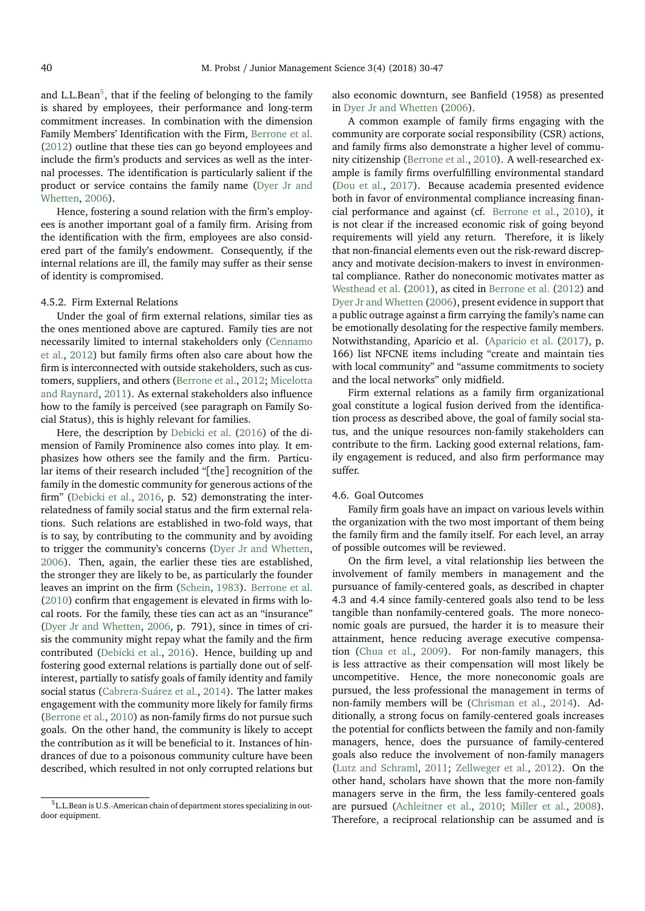and L.L.Bean $^5$  $^5$ , that if the feeling of belonging to the family is shared by employees, their performance and long-term commitment increases. In combination with the dimension Family Members' Identification with the Firm, [Berrone et al.](#page-15-9) [\(2012\)](#page-15-9) outline that these ties can go beyond employees and include the firm's products and services as well as the internal processes. The identification is particularly salient if the product or service contains the family name [\(Dyer Jr and](#page-15-25) [Whetten,](#page-15-25) [2006\)](#page-15-25).

Hence, fostering a sound relation with the firm's employees is another important goal of a family firm. Arising from the identification with the firm, employees are also considered part of the family's endowment. Consequently, if the internal relations are ill, the family may suffer as their sense of identity is compromised.

#### 4.5.2. Firm External Relations

Under the goal of firm external relations, similar ties as the ones mentioned above are captured. Family ties are not necessarily limited to internal stakeholders only [\(Cennamo](#page-15-35) [et al.,](#page-15-35) [2012\)](#page-15-35) but family firms often also care about how the firm is interconnected with outside stakeholders, such as customers, suppliers, and others [\(Berrone et al.,](#page-15-9) [2012;](#page-15-9) [Micelotta](#page-16-34) [and Raynard,](#page-16-34) [2011\)](#page-16-34). As external stakeholders also influence how to the family is perceived (see paragraph on Family Social Status), this is highly relevant for families.

Here, the description by [Debicki et al.](#page-15-14) [\(2016\)](#page-15-14) of the dimension of Family Prominence also comes into play. It emphasizes how others see the family and the firm. Particular items of their research included "[the] recognition of the family in the domestic community for generous actions of the firm" [\(Debicki et al.,](#page-15-14) [2016,](#page-15-14) p. 52) demonstrating the interrelatedness of family social status and the firm external relations. Such relations are established in two-fold ways, that is to say, by contributing to the community and by avoiding to trigger the community's concerns [\(Dyer Jr and Whetten,](#page-15-25) [2006\)](#page-15-25). Then, again, the earlier these ties are established, the stronger they are likely to be, as particularly the founder leaves an imprint on the firm [\(Schein,](#page-17-14) [1983\)](#page-17-14). [Berrone et al.](#page-15-18) [\(2010\)](#page-15-18) confirm that engagement is elevated in firms with local roots. For the family, these ties can act as an "insurance" [\(Dyer Jr and Whetten,](#page-15-25) [2006,](#page-15-25) p. 791), since in times of crisis the community might repay what the family and the firm contributed [\(Debicki et al.,](#page-15-14) [2016\)](#page-15-14). Hence, building up and fostering good external relations is partially done out of selfinterest, partially to satisfy goals of family identity and family social status [\(Cabrera-Suárez et al.,](#page-15-27) [2014\)](#page-15-27). The latter makes engagement with the community more likely for family firms [\(Berrone et al.,](#page-15-18) [2010\)](#page-15-18) as non-family firms do not pursue such goals. On the other hand, the community is likely to accept the contribution as it will be beneficial to it. Instances of hindrances of due to a poisonous community culture have been described, which resulted in not only corrupted relations but also economic downturn, see Banfield (1958) as presented in [Dyer Jr and Whetten](#page-15-25) [\(2006\)](#page-15-25).

A common example of family firms engaging with the community are corporate social responsibility (CSR) actions, and family firms also demonstrate a higher level of community citizenship [\(Berrone et al.,](#page-15-18) [2010\)](#page-15-18). A well-researched example is family firms overfulfilling environmental standard [\(Dou et al.,](#page-15-36) [2017\)](#page-15-36). Because academia presented evidence both in favor of environmental compliance increasing financial performance and against (cf. [Berrone et al.,](#page-15-18) [2010\)](#page-15-18), it is not clear if the increased economic risk of going beyond requirements will yield any return. Therefore, it is likely that non-financial elements even out the risk-reward discrepancy and motivate decision-makers to invest in environmental compliance. Rather do noneconomic motivates matter as [Westhead et al.](#page-17-16) [\(2001\)](#page-17-16), as cited in [Berrone et al.](#page-15-9) [\(2012\)](#page-15-9) and [Dyer Jr and Whetten](#page-15-25) [\(2006\)](#page-15-25), present evidence in support that a public outrage against a firm carrying the family's name can be emotionally desolating for the respective family members. Notwithstanding, Aparicio et al. [\(Aparicio et al.](#page-15-2) [\(2017\)](#page-15-2), p. 166) list NFCNE items including "create and maintain ties with local community" and "assume commitments to society and the local networks" only midfield.

Firm external relations as a family firm organizational goal constitute a logical fusion derived from the identification process as described above, the goal of family social status, and the unique resources non-family stakeholders can contribute to the firm. Lacking good external relations, family engagement is reduced, and also firm performance may suffer.

## 4.6. Goal Outcomes

Family firm goals have an impact on various levels within the organization with the two most important of them being the family firm and the family itself. For each level, an array of possible outcomes will be reviewed.

On the firm level, a vital relationship lies between the involvement of family members in management and the pursuance of family-centered goals, as described in chapter 4.3 and 4.4 since family-centered goals also tend to be less tangible than nonfamily-centered goals. The more noneconomic goals are pursued, the harder it is to measure their attainment, hence reducing average executive compensation [\(Chua et al.,](#page-15-21) [2009\)](#page-15-21). For non-family managers, this is less attractive as their compensation will most likely be uncompetitive. Hence, the more noneconomic goals are pursued, the less professional the management in terms of non-family members will be [\(Chrisman et al.,](#page-15-37) [2014\)](#page-15-37). Additionally, a strong focus on family-centered goals increases the potential for conflicts between the family and non-family managers, hence, does the pursuance of family-centered goals also reduce the involvement of non-family managers [\(Lutz and Schraml,](#page-16-35) [2011;](#page-16-35) [Zellweger et al.,](#page-17-5) [2012\)](#page-17-5). On the other hand, scholars have shown that the more non-family managers serve in the firm, the less family-centered goals are pursued [\(Achleitner et al.,](#page-15-38) [2010;](#page-15-38) [Miller et al.,](#page-16-30) [2008\)](#page-16-30). Therefore, a reciprocal relationship can be assumed and is

<span id="page-10-0"></span><sup>&</sup>lt;sup>5</sup>L.L.Bean is U.S.-American chain of department stores specializing in outdoor equipment.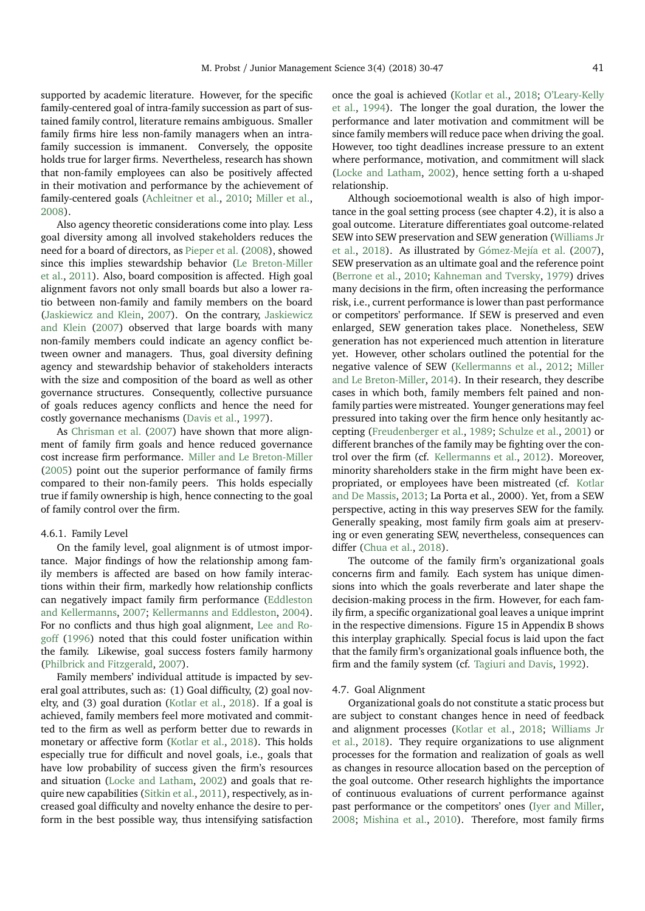supported by academic literature. However, for the specific family-centered goal of intra-family succession as part of sustained family control, literature remains ambiguous. Smaller family firms hire less non-family managers when an intrafamily succession is immanent. Conversely, the opposite holds true for larger firms. Nevertheless, research has shown that non-family employees can also be positively affected in their motivation and performance by the achievement of family-centered goals [\(Achleitner et al.,](#page-15-38) [2010;](#page-15-38) [Miller et al.,](#page-16-30) [2008\)](#page-16-30).

Also agency theoretic considerations come into play. Less goal diversity among all involved stakeholders reduces the need for a board of directors, as [Pieper et al.](#page-16-36) [\(2008\)](#page-16-36), showed since this implies stewardship behavior [\(Le Breton-Miller](#page-16-18) [et al.,](#page-16-18) [2011\)](#page-16-18). Also, board composition is affected. High goal alignment favors not only small boards but also a lower ratio between non-family and family members on the board [\(Jaskiewicz and Klein,](#page-16-23) [2007\)](#page-16-23). On the contrary, [Jaskiewicz](#page-16-23) [and Klein](#page-16-23) [\(2007\)](#page-16-23) observed that large boards with many non-family members could indicate an agency conflict between owner and managers. Thus, goal diversity defining agency and stewardship behavior of stakeholders interacts with the size and composition of the board as well as other governance structures. Consequently, collective pursuance of goals reduces agency conflicts and hence the need for costly governance mechanisms [\(Davis et al.,](#page-15-7) [1997\)](#page-15-7).

As [Chrisman et al.](#page-15-39) [\(2007\)](#page-15-39) have shown that more alignment of family firm goals and hence reduced governance cost increase firm performance. [Miller and Le Breton-Miller](#page-16-33) [\(2005\)](#page-16-33) point out the superior performance of family firms compared to their non-family peers. This holds especially true if family ownership is high, hence connecting to the goal of family control over the firm.

#### 4.6.1. Family Level

On the family level, goal alignment is of utmost importance. Major findings of how the relationship among family members is affected are based on how family interactions within their firm, markedly how relationship conflicts can negatively impact family firm performance [\(Eddleston](#page-15-29) [and Kellermanns,](#page-15-29) [2007;](#page-15-29) [Kellermanns and Eddleston,](#page-16-21) [2004\)](#page-16-21). For no conflicts and thus high goal alignment, [Lee and Ro](#page-16-37)[goff](#page-16-37) [\(1996\)](#page-16-37) noted that this could foster unification within the family. Likewise, goal success fosters family harmony [\(Philbrick and Fitzgerald,](#page-16-38) [2007\)](#page-16-38).

Family members' individual attitude is impacted by several goal attributes, such as: (1) Goal difficulty, (2) goal novelty, and (3) goal duration [\(Kotlar et al.,](#page-16-10) [2018\)](#page-16-10). If a goal is achieved, family members feel more motivated and committed to the firm as well as perform better due to rewards in monetary or affective form [\(Kotlar et al.,](#page-16-10) [2018\)](#page-16-10). This holds especially true for difficult and novel goals, i.e., goals that have low probability of success given the firm's resources and situation [\(Locke and Latham,](#page-16-39) [2002\)](#page-16-39) and goals that require new capabilities [\(Sitkin et al.,](#page-17-17) [2011\)](#page-17-17), respectively, as increased goal difficulty and novelty enhance the desire to perform in the best possible way, thus intensifying satisfaction

once the goal is achieved [\(Kotlar et al.,](#page-16-10) [2018;](#page-16-10) [O'Leary-Kelly](#page-16-40) [et al.,](#page-16-40) [1994\)](#page-16-40). The longer the goal duration, the lower the performance and later motivation and commitment will be since family members will reduce pace when driving the goal. However, too tight deadlines increase pressure to an extent where performance, motivation, and commitment will slack [\(Locke and Latham,](#page-16-39) [2002\)](#page-16-39), hence setting forth a u-shaped relationship.

Although socioemotional wealth is also of high importance in the goal setting process (see chapter 4.2), it is also a goal outcome. Literature differentiates goal outcome-related SEW into SEW preservation and SEW generation [\(Williams Jr](#page-17-18) [et al.,](#page-17-18) [2018\)](#page-17-18). As illustrated by [Gómez-Mejía et al.](#page-15-0) [\(2007\)](#page-15-0), SEW preservation as an ultimate goal and the reference point [\(Berrone et al.,](#page-15-18) [2010;](#page-15-18) [Kahneman and Tversky,](#page-16-2) [1979\)](#page-16-2) drives many decisions in the firm, often increasing the performance risk, i.e., current performance is lower than past performance or competitors' performance. If SEW is preserved and even enlarged, SEW generation takes place. Nonetheless, SEW generation has not experienced much attention in literature yet. However, other scholars outlined the potential for the negative valence of SEW [\(Kellermanns et al.,](#page-16-41) [2012;](#page-16-41) [Miller](#page-16-7) [and Le Breton-Miller,](#page-16-7) [2014\)](#page-16-7). In their research, they describe cases in which both, family members felt pained and nonfamily parties were mistreated. Younger generations may feel pressured into taking over the firm hence only hesitantly accepting [\(Freudenberger et al.,](#page-15-40) [1989;](#page-15-40) [Schulze et al.,](#page-17-13) [2001\)](#page-17-13) or different branches of the family may be fighting over the control over the firm (cf. [Kellermanns et al.,](#page-16-41) [2012\)](#page-16-41). Moreover, minority shareholders stake in the firm might have been expropriated, or employees have been mistreated (cf. [Kotlar](#page-16-8) [and De Massis,](#page-16-8) [2013;](#page-16-8) La Porta et al., 2000). Yet, from a SEW perspective, acting in this way preserves SEW for the family. Generally speaking, most family firm goals aim at preserving or even generating SEW, nevertheless, consequences can differ [\(Chua et al.,](#page-15-41) [2018\)](#page-15-41).

The outcome of the family firm's organizational goals concerns firm and family. Each system has unique dimensions into which the goals reverberate and later shape the decision-making process in the firm. However, for each family firm, a specific organizational goal leaves a unique imprint in the respective dimensions. Figure 15 in Appendix B shows this interplay graphically. Special focus is laid upon the fact that the family firm's organizational goals influence both, the firm and the family system (cf. [Tagiuri and Davis,](#page-17-6) [1992\)](#page-17-6).

#### 4.7. Goal Alignment

Organizational goals do not constitute a static process but are subject to constant changes hence in need of feedback and alignment processes [\(Kotlar et al.,](#page-16-10) [2018;](#page-16-10) [Williams Jr](#page-17-18) [et al.,](#page-17-18) [2018\)](#page-17-18). They require organizations to use alignment processes for the formation and realization of goals as well as changes in resource allocation based on the perception of the goal outcome. Other research highlights the importance of continuous evaluations of current performance against past performance or the competitors' ones [\(Iyer and Miller,](#page-16-42) [2008;](#page-16-42) [Mishina et al.,](#page-16-43) [2010\)](#page-16-43). Therefore, most family firms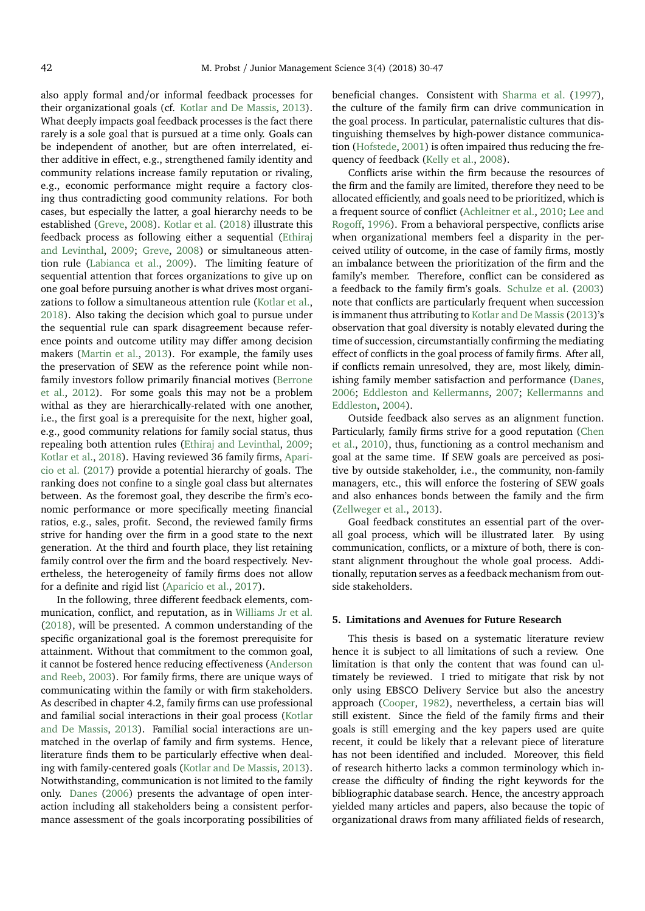also apply formal and/or informal feedback processes for their organizational goals (cf. [Kotlar and De Massis,](#page-16-8) [2013\)](#page-16-8). What deeply impacts goal feedback processes is the fact there rarely is a sole goal that is pursued at a time only. Goals can be independent of another, but are often interrelated, either additive in effect, e.g., strengthened family identity and community relations increase family reputation or rivaling, e.g., economic performance might require a factory closing thus contradicting good community relations. For both cases, but especially the latter, a goal hierarchy needs to be established [\(Greve,](#page-15-42) [2008\)](#page-15-42). [Kotlar et al.](#page-16-10) [\(2018\)](#page-16-10) illustrate this feedback process as following either a sequential [\(Ethiraj](#page-15-43) [and Levinthal,](#page-15-43) [2009;](#page-15-43) [Greve,](#page-15-42) [2008\)](#page-15-42) or simultaneous attention rule [\(Labianca et al.,](#page-16-44) [2009\)](#page-16-44). The limiting feature of sequential attention that forces organizations to give up on one goal before pursuing another is what drives most organizations to follow a simultaneous attention rule [\(Kotlar et al.,](#page-16-10) [2018\)](#page-16-10). Also taking the decision which goal to pursue under the sequential rule can spark disagreement because reference points and outcome utility may differ among decision makers [\(Martin et al.,](#page-16-15) [2013\)](#page-16-15). For example, the family uses the preservation of SEW as the reference point while nonfamily investors follow primarily financial motives [\(Berrone](#page-15-9) [et al.,](#page-15-9) [2012\)](#page-15-9). For some goals this may not be a problem withal as they are hierarchically-related with one another, i.e., the first goal is a prerequisite for the next, higher goal, e.g., good community relations for family social status, thus repealing both attention rules [\(Ethiraj and Levinthal,](#page-15-43) [2009;](#page-15-43) [Kotlar et al.,](#page-16-10) [2018\)](#page-16-10). Having reviewed 36 family firms, [Apari](#page-15-2)[cio et al.](#page-15-2) [\(2017\)](#page-15-2) provide a potential hierarchy of goals. The ranking does not confine to a single goal class but alternates between. As the foremost goal, they describe the firm's economic performance or more specifically meeting financial ratios, e.g., sales, profit. Second, the reviewed family firms strive for handing over the firm in a good state to the next generation. At the third and fourth place, they list retaining family control over the firm and the board respectively. Nevertheless, the heterogeneity of family firms does not allow for a definite and rigid list [\(Aparicio et al.,](#page-15-2) [2017\)](#page-15-2).

In the following, three different feedback elements, communication, conflict, and reputation, as in [Williams Jr et al.](#page-17-18) [\(2018\)](#page-17-18), will be presented. A common understanding of the specific organizational goal is the foremost prerequisite for attainment. Without that commitment to the common goal, it cannot be fostered hence reducing effectiveness [\(Anderson](#page-15-32) [and Reeb,](#page-15-32) [2003\)](#page-15-32). For family firms, there are unique ways of communicating within the family or with firm stakeholders. As described in chapter 4.2, family firms can use professional and familial social interactions in their goal process [\(Kotlar](#page-16-8) [and De Massis,](#page-16-8) [2013\)](#page-16-8). Familial social interactions are unmatched in the overlap of family and firm systems. Hence, literature finds them to be particularly effective when dealing with family-centered goals [\(Kotlar and De Massis,](#page-16-8) [2013\)](#page-16-8). Notwithstanding, communication is not limited to the family only. [Danes](#page-15-44) [\(2006\)](#page-15-44) presents the advantage of open interaction including all stakeholders being a consistent performance assessment of the goals incorporating possibilities of beneficial changes. Consistent with [Sharma et al.](#page-17-19) [\(1997\)](#page-17-19), the culture of the family firm can drive communication in the goal process. In particular, paternalistic cultures that distinguishing themselves by high-power distance communication [\(Hofstede,](#page-16-45) [2001\)](#page-16-45) is often impaired thus reducing the frequency of feedback [\(Kelly et al.,](#page-16-46) [2008\)](#page-16-46).

Conflicts arise within the firm because the resources of the firm and the family are limited, therefore they need to be allocated efficiently, and goals need to be prioritized, which is a frequent source of conflict [\(Achleitner et al.,](#page-15-38) [2010;](#page-15-38) [Lee and](#page-16-37) [Rogoff,](#page-16-37) [1996\)](#page-16-37). From a behavioral perspective, conflicts arise when organizational members feel a disparity in the perceived utility of outcome, in the case of family firms, mostly an imbalance between the prioritization of the firm and the family's member. Therefore, conflict can be considered as a feedback to the family firm's goals. [Schulze et al.](#page-17-12) [\(2003\)](#page-17-12) note that conflicts are particularly frequent when succession is immanent thus attributing to [Kotlar and De Massis](#page-16-8) [\(2013\)](#page-16-8)'s observation that goal diversity is notably elevated during the time of succession, circumstantially confirming the mediating effect of conflicts in the goal process of family firms. After all, if conflicts remain unresolved, they are, most likely, diminishing family member satisfaction and performance [\(Danes,](#page-15-44) [2006;](#page-15-44) [Eddleston and Kellermanns,](#page-15-29) [2007;](#page-15-29) [Kellermanns and](#page-16-21) [Eddleston,](#page-16-21) [2004\)](#page-16-21).

Outside feedback also serves as an alignment function. Particularly, family firms strive for a good reputation [\(Chen](#page-15-45) [et al.,](#page-15-45) [2010\)](#page-15-45), thus, functioning as a control mechanism and goal at the same time. If SEW goals are perceived as positive by outside stakeholder, i.e., the community, non-family managers, etc., this will enforce the fostering of SEW goals and also enhances bonds between the family and the firm [\(Zellweger et al.,](#page-17-20) [2013\)](#page-17-20).

Goal feedback constitutes an essential part of the overall goal process, which will be illustrated later. By using communication, conflicts, or a mixture of both, there is constant alignment throughout the whole goal process. Additionally, reputation serves as a feedback mechanism from outside stakeholders.

#### **5. Limitations and Avenues for Future Research**

This thesis is based on a systematic literature review hence it is subject to all limitations of such a review. One limitation is that only the content that was found can ultimately be reviewed. I tried to mitigate that risk by not only using EBSCO Delivery Service but also the ancestry approach [\(Cooper,](#page-15-5) [1982\)](#page-15-5), nevertheless, a certain bias will still existent. Since the field of the family firms and their goals is still emerging and the key papers used are quite recent, it could be likely that a relevant piece of literature has not been identified and included. Moreover, this field of research hitherto lacks a common terminology which increase the difficulty of finding the right keywords for the bibliographic database search. Hence, the ancestry approach yielded many articles and papers, also because the topic of organizational draws from many affiliated fields of research,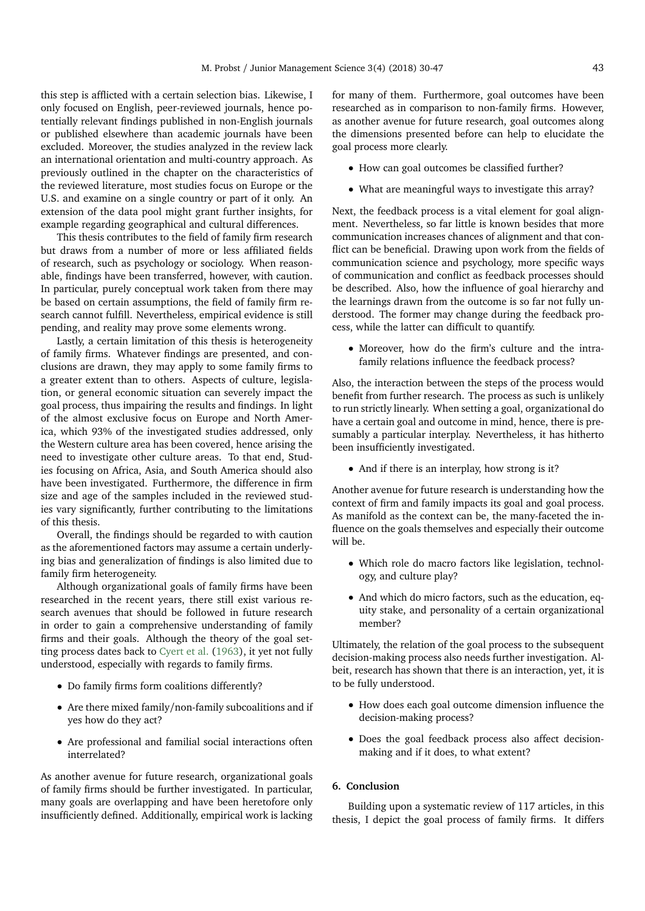this step is afflicted with a certain selection bias. Likewise, I only focused on English, peer-reviewed journals, hence potentially relevant findings published in non-English journals or published elsewhere than academic journals have been excluded. Moreover, the studies analyzed in the review lack an international orientation and multi-country approach. As previously outlined in the chapter on the characteristics of the reviewed literature, most studies focus on Europe or the U.S. and examine on a single country or part of it only. An extension of the data pool might grant further insights, for example regarding geographical and cultural differences.

This thesis contributes to the field of family firm research but draws from a number of more or less affiliated fields of research, such as psychology or sociology. When reasonable, findings have been transferred, however, with caution. In particular, purely conceptual work taken from there may be based on certain assumptions, the field of family firm research cannot fulfill. Nevertheless, empirical evidence is still pending, and reality may prove some elements wrong.

Lastly, a certain limitation of this thesis is heterogeneity of family firms. Whatever findings are presented, and conclusions are drawn, they may apply to some family firms to a greater extent than to others. Aspects of culture, legislation, or general economic situation can severely impact the goal process, thus impairing the results and findings. In light of the almost exclusive focus on Europe and North America, which 93% of the investigated studies addressed, only the Western culture area has been covered, hence arising the need to investigate other culture areas. To that end, Studies focusing on Africa, Asia, and South America should also have been investigated. Furthermore, the difference in firm size and age of the samples included in the reviewed studies vary significantly, further contributing to the limitations of this thesis.

Overall, the findings should be regarded to with caution as the aforementioned factors may assume a certain underlying bias and generalization of findings is also limited due to family firm heterogeneity.

Although organizational goals of family firms have been researched in the recent years, there still exist various research avenues that should be followed in future research in order to gain a comprehensive understanding of family firms and their goals. Although the theory of the goal setting process dates back to [Cyert et al.](#page-15-6) [\(1963\)](#page-15-6), it yet not fully understood, especially with regards to family firms.

- Do family firms form coalitions differently?
- Are there mixed family/non-family subcoalitions and if yes how do they act?
- Are professional and familial social interactions often interrelated?

As another avenue for future research, organizational goals of family firms should be further investigated. In particular, many goals are overlapping and have been heretofore only insufficiently defined. Additionally, empirical work is lacking for many of them. Furthermore, goal outcomes have been researched as in comparison to non-family firms. However, as another avenue for future research, goal outcomes along the dimensions presented before can help to elucidate the goal process more clearly.

- How can goal outcomes be classified further?
- What are meaningful ways to investigate this array?

Next, the feedback process is a vital element for goal alignment. Nevertheless, so far little is known besides that more communication increases chances of alignment and that conflict can be beneficial. Drawing upon work from the fields of communication science and psychology, more specific ways of communication and conflict as feedback processes should be described. Also, how the influence of goal hierarchy and the learnings drawn from the outcome is so far not fully understood. The former may change during the feedback process, while the latter can difficult to quantify.

• Moreover, how do the firm's culture and the intrafamily relations influence the feedback process?

Also, the interaction between the steps of the process would benefit from further research. The process as such is unlikely to run strictly linearly. When setting a goal, organizational do have a certain goal and outcome in mind, hence, there is presumably a particular interplay. Nevertheless, it has hitherto been insufficiently investigated.

• And if there is an interplay, how strong is it?

Another avenue for future research is understanding how the context of firm and family impacts its goal and goal process. As manifold as the context can be, the many-faceted the influence on the goals themselves and especially their outcome will be.

- Which role do macro factors like legislation, technology, and culture play?
- And which do micro factors, such as the education, equity stake, and personality of a certain organizational member?

Ultimately, the relation of the goal process to the subsequent decision-making process also needs further investigation. Albeit, research has shown that there is an interaction, yet, it is to be fully understood.

- How does each goal outcome dimension influence the decision-making process?
- Does the goal feedback process also affect decisionmaking and if it does, to what extent?

## **6. Conclusion**

Building upon a systematic review of 117 articles, in this thesis, I depict the goal process of family firms. It differs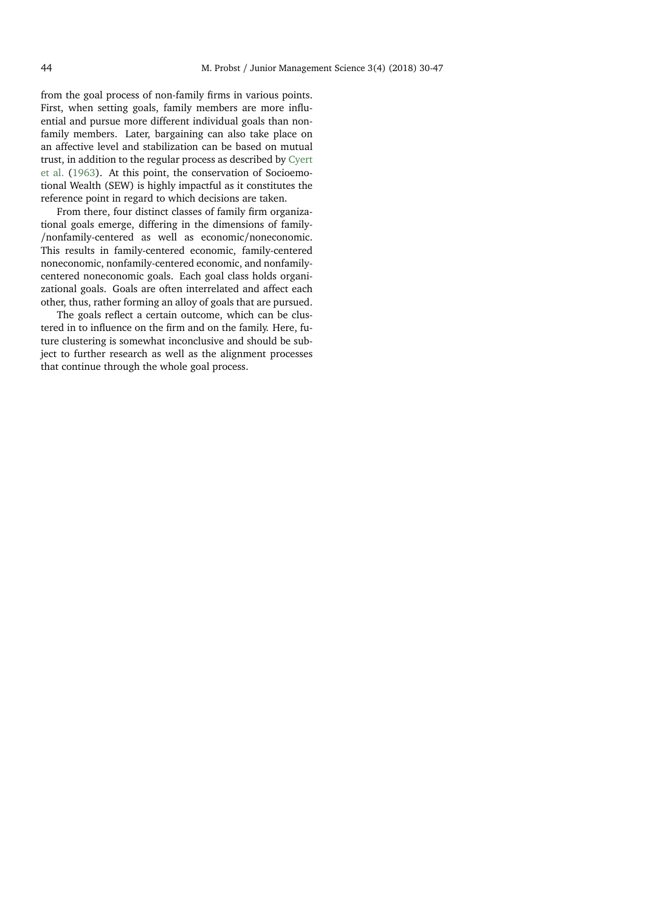from the goal process of non-family firms in various points. First, when setting goals, family members are more influential and pursue more different individual goals than nonfamily members. Later, bargaining can also take place on an affective level and stabilization can be based on mutual trust, in addition to the regular process as described by [Cyert](#page-15-6) [et al.](#page-15-6) [\(1963\)](#page-15-6). At this point, the conservation of Socioemotional Wealth (SEW) is highly impactful as it constitutes the reference point in regard to which decisions are taken.

From there, four distinct classes of family firm organizational goals emerge, differing in the dimensions of family- /nonfamily-centered as well as economic/noneconomic. This results in family-centered economic, family-centered noneconomic, nonfamily-centered economic, and nonfamilycentered noneconomic goals. Each goal class holds organizational goals. Goals are often interrelated and affect each other, thus, rather forming an alloy of goals that are pursued.

The goals reflect a certain outcome, which can be clustered in to influence on the firm and on the family. Here, future clustering is somewhat inconclusive and should be subject to further research as well as the alignment processes that continue through the whole goal process.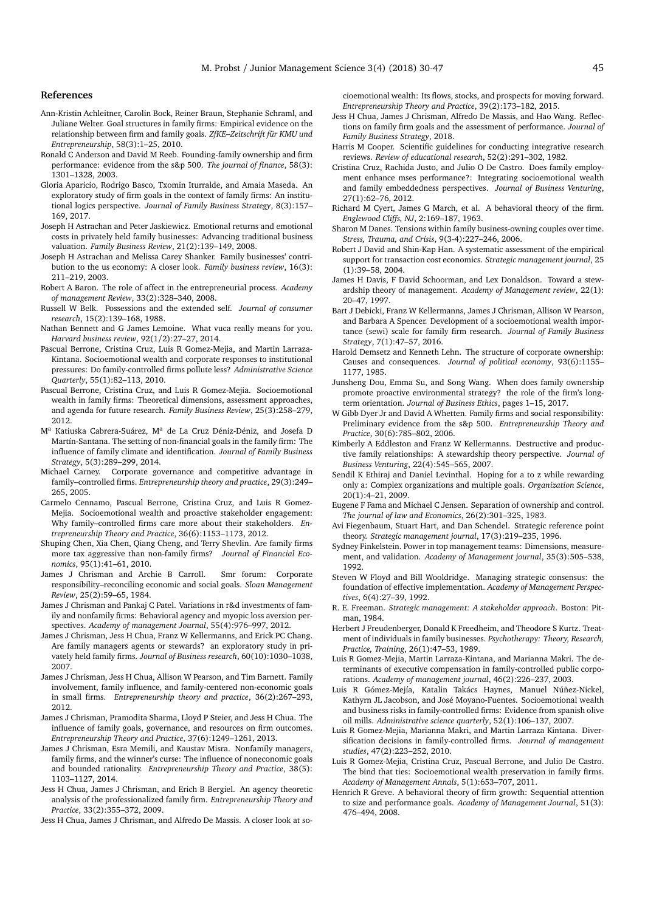#### **References**

- <span id="page-15-38"></span>Ann-Kristin Achleitner, Carolin Bock, Reiner Braun, Stephanie Schraml, and Juliane Welter. Goal structures in family firms: Empirical evidence on the relationship between firm and family goals. *ZfKE–Zeitschrift für KMU und Entrepreneurship*, 58(3):1–25, 2010.
- <span id="page-15-32"></span>Ronald C Anderson and David M Reeb. Founding-family ownership and firm performance: evidence from the s&p 500. *The journal of finance*, 58(3): 1301–1328, 2003.
- <span id="page-15-2"></span>Gloria Aparicio, Rodrigo Basco, Txomin Iturralde, and Amaia Maseda. An exploratory study of firm goals in the context of family firms: An institutional logics perspective. *Journal of Family Business Strategy*, 8(3):157– 169, 2017.
- <span id="page-15-24"></span>Joseph H Astrachan and Peter Jaskiewicz. Emotional returns and emotional costs in privately held family businesses: Advancing traditional business valuation. *Family Business Review*, 21(2):139–149, 2008.
- <span id="page-15-3"></span>Joseph H Astrachan and Melissa Carey Shanker. Family businesses' contribution to the us economy: A closer look. *Family business review*, 16(3): 211–219, 2003.
- <span id="page-15-30"></span>Robert A Baron. The role of affect in the entrepreneurial process. *Academy of management Review*, 33(2):328–340, 2008.
- <span id="page-15-22"></span>Russell W Belk. Possessions and the extended self. *Journal of consumer research*, 15(2):139–168, 1988.
- <span id="page-15-1"></span>Nathan Bennett and G James Lemoine. What vuca really means for you. *Harvard business review*, 92(1/2):27–27, 2014.
- <span id="page-15-18"></span>Pascual Berrone, Cristina Cruz, Luis R Gomez-Mejia, and Martin Larraza-Kintana. Socioemotional wealth and corporate responses to institutional pressures: Do family-controlled firms pollute less? *Administrative Science Quarterly*, 55(1):82–113, 2010.
- <span id="page-15-9"></span>Pascual Berrone, Cristina Cruz, and Luis R Gomez-Mejia. Socioemotional wealth in family firms: Theoretical dimensions, assessment approaches, and agenda for future research. *Family Business Review*, 25(3):258–279, 2012.
- <span id="page-15-27"></span>M<sup>a</sup> Katiuska Cabrera-Suárez, M<sup>a</sup> de La Cruz Déniz-Déniz, and Josefa D Martín-Santana. The setting of non-financial goals in the family firm: The influence of family climate and identification. *Journal of Family Business Strategy*, 5(3):289–299, 2014.
- <span id="page-15-23"></span>Michael Carney. Corporate governance and competitive advantage in family–controlled firms. *Entrepreneurship theory and practice*, 29(3):249– 265, 2005.
- <span id="page-15-35"></span>Carmelo Cennamo, Pascual Berrone, Cristina Cruz, and Luis R Gomez-Mejia. Socioemotional wealth and proactive stakeholder engagement: Why family–controlled firms care more about their stakeholders. *Entrepreneurship Theory and Practice*, 36(6):1153–1173, 2012.
- <span id="page-15-45"></span>Shuping Chen, Xia Chen, Qiang Cheng, and Terry Shevlin. Are family firms more tax aggressive than non-family firms? *Journal of Financial Economics*, 95(1):41–61, 2010.
- <span id="page-15-15"></span>James J Chrisman and Archie B Carroll. Smr forum: Corporate responsibility–reconciling economic and social goals. *Sloan Management Review*, 25(2):59–65, 1984.
- <span id="page-15-11"></span>James J Chrisman and Pankaj C Patel. Variations in r&d investments of family and nonfamily firms: Behavioral agency and myopic loss aversion perspectives. *Academy of management Journal*, 55(4):976–997, 2012.
- <span id="page-15-39"></span>James J Chrisman, Jess H Chua, Franz W Kellermanns, and Erick PC Chang. Are family managers agents or stewards? an exploratory study in privately held family firms. *Journal of Business research*, 60(10):1030–1038, 2007.
- <span id="page-15-13"></span>James J Chrisman, Jess H Chua, Allison W Pearson, and Tim Barnett. Family involvement, family influence, and family-centered non-economic goals in small firms. *Entrepreneurship theory and practice*, 36(2):267–293, 2012.
- <span id="page-15-31"></span>James J Chrisman, Pramodita Sharma, Lloyd P Steier, and Jess H Chua. The influence of family goals, governance, and resources on firm outcomes. *Entrepreneurship Theory and Practice*, 37(6):1249–1261, 2013.
- <span id="page-15-37"></span>James J Chrisman, Esra Memili, and Kaustav Misra. Nonfamily managers, family firms, and the winner's curse: The influence of noneconomic goals and bounded rationality. *Entrepreneurship Theory and Practice*, 38(5): 1103–1127, 2014.
- <span id="page-15-21"></span>Jess H Chua, James J Chrisman, and Erich B Bergiel. An agency theoretic analysis of the professionalized family firm. *Entrepreneurship Theory and Practice*, 33(2):355–372, 2009.
- <span id="page-15-10"></span>Jess H Chua, James J Chrisman, and Alfredo De Massis. A closer look at so-

cioemotional wealth: Its flows, stocks, and prospects for moving forward. *Entrepreneurship Theory and Practice*, 39(2):173–182, 2015.

- <span id="page-15-41"></span>Jess H Chua, James J Chrisman, Alfredo De Massis, and Hao Wang. Reflections on family firm goals and the assessment of performance. *Journal of Family Business Strategy*, 2018.
- <span id="page-15-5"></span>Harris M Cooper. Scientific guidelines for conducting integrative research reviews. *Review of educational research*, 52(2):291–302, 1982.
- <span id="page-15-28"></span>Cristina Cruz, Rachida Justo, and Julio O De Castro. Does family employment enhance mses performance?: Integrating socioemotional wealth and family embeddedness perspectives. *Journal of Business Venturing*, 27(1):62–76, 2012.
- <span id="page-15-6"></span>Richard M Cyert, James G March, et al. A behavioral theory of the firm. *Englewood Cliffs, NJ*, 2:169–187, 1963.
- <span id="page-15-44"></span>Sharon M Danes. Tensions within family business-owning couples over time. *Stress, Trauma, and Crisis*, 9(3-4):227–246, 2006.
- <span id="page-15-4"></span>Robert J David and Shin-Kap Han. A systematic assessment of the empirical support for transaction cost economics. *Strategic management journal*, 25 (1):39–58, 2004.
- <span id="page-15-7"></span>James H Davis, F David Schoorman, and Lex Donaldson. Toward a stewardship theory of management. *Academy of Management review*, 22(1): 20–47, 1997.
- <span id="page-15-14"></span>Bart J Debicki, Franz W Kellermanns, James J Chrisman, Allison W Pearson, and Barbara A Spencer. Development of a socioemotional wealth importance (sewi) scale for family firm research. *Journal of Family Business Strategy*, 7(1):47–57, 2016.
- <span id="page-15-34"></span>Harold Demsetz and Kenneth Lehn. The structure of corporate ownership: Causes and consequences. *Journal of political economy*, 93(6):1155– 1177, 1985.
- <span id="page-15-36"></span>Junsheng Dou, Emma Su, and Song Wang. When does family ownership promote proactive environmental strategy? the role of the firm's longterm orientation. *Journal of Business Ethics*, pages 1–15, 2017.
- <span id="page-15-25"></span>W Gibb Dyer Jr and David A Whetten. Family firms and social responsibility: Preliminary evidence from the s&p 500. *Entrepreneurship Theory and Practice*, 30(6):785–802, 2006.
- <span id="page-15-29"></span>Kimberly A Eddleston and Franz W Kellermanns. Destructive and productive family relationships: A stewardship theory perspective. *Journal of Business Venturing*, 22(4):545–565, 2007.
- <span id="page-15-43"></span>Sendil K Ethiraj and Daniel Levinthal. Hoping for a to z while rewarding only a: Complex organizations and multiple goals. *Organization Science*, 20(1):4–21, 2009.
- <span id="page-15-33"></span>Eugene F Fama and Michael C Jensen. Separation of ownership and control. *The journal of law and Economics*, 26(2):301–325, 1983.
- <span id="page-15-17"></span>Avi Fiegenbaum, Stuart Hart, and Dan Schendel. Strategic reference point theory. *Strategic management journal*, 17(3):219–235, 1996.
- <span id="page-15-20"></span>Sydney Finkelstein. Power in top management teams: Dimensions, measurement, and validation. *Academy of Management journal*, 35(3):505–538, 1992.
- <span id="page-15-16"></span>Steven W Floyd and Bill Wooldridge. Managing strategic consensus: the foundation of effective implementation. *Academy of Management Perspectives*, 6(4):27–39, 1992.
- <span id="page-15-8"></span>R. E. Freeman. *Strategic management: A stakeholder approach*. Boston: Pitman, 1984.
- <span id="page-15-40"></span>Herbert J Freudenberger, Donald K Freedheim, and Theodore S Kurtz. Treatment of individuals in family businesses. *Psychotherapy: Theory, Research, Practice, Training*, 26(1):47–53, 1989.
- <span id="page-15-19"></span>Luis R Gomez-Mejia, Martin Larraza-Kintana, and Marianna Makri. The determinants of executive compensation in family-controlled public corporations. *Academy of management journal*, 46(2):226–237, 2003.
- <span id="page-15-0"></span>Luis R Gómez-Mejía, Katalin Takács Haynes, Manuel Núñez-Nickel, Kathyrn JL Jacobson, and José Moyano-Fuentes. Socioemotional wealth and business risks in family-controlled firms: Evidence from spanish olive oil mills. *Administrative science quarterly*, 52(1):106–137, 2007.
- <span id="page-15-26"></span>Luis R Gomez-Mejia, Marianna Makri, and Martin Larraza Kintana. Diversification decisions in family-controlled firms. *Journal of management studies*, 47(2):223–252, 2010.
- <span id="page-15-12"></span>Luis R Gomez-Mejia, Cristina Cruz, Pascual Berrone, and Julio De Castro. The bind that ties: Socioemotional wealth preservation in family firms. *Academy of Management Annals*, 5(1):653–707, 2011.
- <span id="page-15-42"></span>Henrich R Greve. A behavioral theory of firm growth: Sequential attention to size and performance goals. *Academy of Management Journal*, 51(3): 476–494, 2008.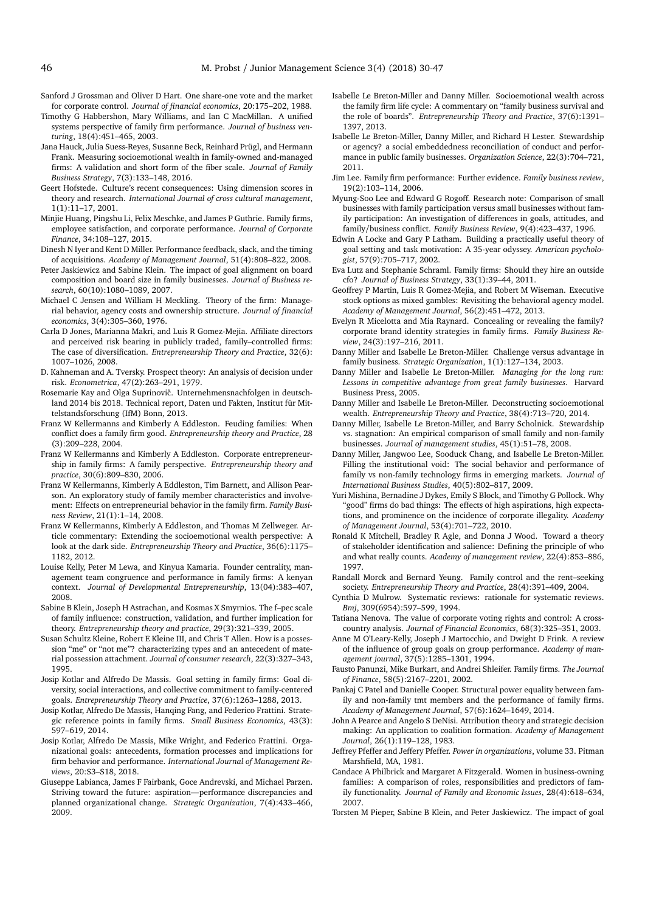- <span id="page-16-20"></span>Sanford J Grossman and Oliver D Hart. One share-one vote and the market for corporate control. *Journal of financial economics*, 20:175–202, 1988.
- <span id="page-16-17"></span>Timothy G Habbershon, Mary Williams, and Ian C MacMillan. A unified systems perspective of family firm performance. *Journal of business venturing*, 18(4):451–465, 2003.
- <span id="page-16-6"></span>Jana Hauck, Julia Suess-Reyes, Susanne Beck, Reinhard Prügl, and Hermann Frank. Measuring socioemotional wealth in family-owned and-managed firms: A validation and short form of the fiber scale. *Journal of Family Business Strategy*, 7(3):133–148, 2016.
- <span id="page-16-45"></span>Geert Hofstede. Culture's recent consequences: Using dimension scores in theory and research. *International Journal of cross cultural management*, 1(1):11–17, 2001.
- <span id="page-16-31"></span>Minjie Huang, Pingshu Li, Felix Meschke, and James P Guthrie. Family firms, employee satisfaction, and corporate performance. *Journal of Corporate Finance*, 34:108–127, 2015.
- <span id="page-16-42"></span>Dinesh N Iyer and Kent D Miller. Performance feedback, slack, and the timing of acquisitions. *Academy of Management Journal*, 51(4):808–822, 2008.
- <span id="page-16-23"></span>Peter Jaskiewicz and Sabine Klein. The impact of goal alignment on board composition and board size in family businesses. *Journal of Business research*, 60(10):1080–1089, 2007.
- <span id="page-16-1"></span>Michael C Jensen and William H Meckling. Theory of the firm: Managerial behavior, agency costs and ownership structure. *Journal of financial economics*, 3(4):305–360, 1976.
- <span id="page-16-24"></span>Carla D Jones, Marianna Makri, and Luis R Gomez-Mejia. Affiliate directors and perceived risk bearing in publicly traded, family–controlled firms: The case of diversification. *Entrepreneurship Theory and Practice*, 32(6): 1007–1026, 2008.
- <span id="page-16-2"></span>D. Kahneman and A. Tversky. Prospect theory: An analysis of decision under risk. *Econometrica*, 47(2):263–291, 1979.
- <span id="page-16-5"></span>Rosemarie Kay and Olga Suprinovič. Unternehmensnachfolgen in deutschland 2014 bis 2018. Technical report, Daten und Fakten, Institut für Mittelstandsforschung (IfM) Bonn, 2013.
- <span id="page-16-21"></span>Franz W Kellermanns and Kimberly A Eddleston. Feuding families: When conflict does a family firm good. *Entrepreneurship theory and Practice*, 28 (3):209–228, 2004.
- <span id="page-16-28"></span>Franz W Kellermanns and Kimberly A Eddleston. Corporate entrepreneurship in family firms: A family perspective. *Entrepreneurship theory and practice*, 30(6):809–830, 2006.
- <span id="page-16-27"></span>Franz W Kellermanns, Kimberly A Eddleston, Tim Barnett, and Allison Pearson. An exploratory study of family member characteristics and involvement: Effects on entrepreneurial behavior in the family firm. *Family Business Review*, 21(1):1–14, 2008.
- <span id="page-16-41"></span>Franz W Kellermanns, Kimberly A Eddleston, and Thomas M Zellweger. Article commentary: Extending the socioemotional wealth perspective: A look at the dark side. *Entrepreneurship Theory and Practice*, 36(6):1175– 1182, 2012.
- <span id="page-16-46"></span>Louise Kelly, Peter M Lewa, and Kinyua Kamaria. Founder centrality, management team congruence and performance in family firms: A kenyan context. *Journal of Developmental Entrepreneurship*, 13(04):383–407, 2008.
- <span id="page-16-9"></span>Sabine B Klein, Joseph H Astrachan, and Kosmas X Smyrnios. The f–pec scale of family influence: construction, validation, and further implication for theory. *Entrepreneurship theory and practice*, 29(3):321–339, 2005.
- <span id="page-16-22"></span>Susan Schultz Kleine, Robert E Kleine III, and Chris T Allen. How is a possession "me" or "not me"? characterizing types and an antecedent of material possession attachment. *Journal of consumer research*, 22(3):327–343, 1995.
- <span id="page-16-8"></span>Josip Kotlar and Alfredo De Massis. Goal setting in family firms: Goal diversity, social interactions, and collective commitment to family-centered goals. *Entrepreneurship Theory and Practice*, 37(6):1263–1288, 2013.
- <span id="page-16-11"></span>Josip Kotlar, Alfredo De Massis, Hanqing Fang, and Federico Frattini. Strategic reference points in family firms. *Small Business Economics*, 43(3): 597–619, 2014.
- <span id="page-16-10"></span>Josip Kotlar, Alfredo De Massis, Mike Wright, and Federico Frattini. Organizational goals: antecedents, formation processes and implications for firm behavior and performance. *International Journal of Management Reviews*, 20:S3–S18, 2018.
- <span id="page-16-44"></span>Giuseppe Labianca, James F Fairbank, Goce Andrevski, and Michael Parzen. Striving toward the future: aspiration—performance discrepancies and planned organizational change. *Strategic Organization*, 7(4):433–466, 2009.
- <span id="page-16-26"></span>Isabelle Le Breton-Miller and Danny Miller. Socioemotional wealth across the family firm life cycle: A commentary on "family business survival and the role of boards". *Entrepreneurship Theory and Practice*, 37(6):1391– 1397, 2013.
- <span id="page-16-18"></span>Isabelle Le Breton-Miller, Danny Miller, and Richard H Lester. Stewardship or agency? a social embeddedness reconciliation of conduct and performance in public family businesses. *Organization Science*, 22(3):704–721, 2011.
- <span id="page-16-29"></span>Jim Lee. Family firm performance: Further evidence. *Family business review*, 19(2):103–114, 2006.
- <span id="page-16-37"></span>Myung-Soo Lee and Edward G Rogoff. Research note: Comparison of small businesses with family participation versus small businesses without family participation: An investigation of differences in goals, attitudes, and family/business conflict. *Family Business Review*, 9(4):423–437, 1996.
- <span id="page-16-39"></span>Edwin A Locke and Gary P Latham. Building a practically useful theory of goal setting and task motivation: A 35-year odyssey. *American psychologist*, 57(9):705–717, 2002.
- <span id="page-16-35"></span>Eva Lutz and Stephanie Schraml. Family firms: Should they hire an outside cfo? *Journal of Business Strategy*, 33(1):39–44, 2011.
- <span id="page-16-15"></span>Geoffrey P Martin, Luis R Gomez-Mejia, and Robert M Wiseman. Executive stock options as mixed gambles: Revisiting the behavioral agency model. *Academy of Management Journal*, 56(2):451–472, 2013.
- <span id="page-16-34"></span>Evelyn R Micelotta and Mia Raynard. Concealing or revealing the family? corporate brand identity strategies in family firms. *Family Business Review*, 24(3):197–216, 2011.
- <span id="page-16-25"></span>Danny Miller and Isabelle Le Breton-Miller. Challenge versus advantage in family business. *Strategic Organization*, 1(1):127–134, 2003.
- <span id="page-16-33"></span>Danny Miller and Isabelle Le Breton-Miller. *Managing for the long run: Lessons in competitive advantage from great family businesses*. Harvard Business Press, 2005.
- <span id="page-16-7"></span>Danny Miller and Isabelle Le Breton-Miller. Deconstructing socioemotional wealth. *Entrepreneurship Theory and Practice*, 38(4):713–720, 2014.
- <span id="page-16-30"></span>Danny Miller, Isabelle Le Breton-Miller, and Barry Scholnick. Stewardship vs. stagnation: An empirical comparison of small family and non-family businesses. *Journal of management studies*, 45(1):51–78, 2008.
- <span id="page-16-32"></span>Danny Miller, Jangwoo Lee, Sooduck Chang, and Isabelle Le Breton-Miller. Filling the institutional void: The social behavior and performance of family vs non-family technology firms in emerging markets. *Journal of International Business Studies*, 40(5):802–817, 2009.
- <span id="page-16-43"></span>Yuri Mishina, Bernadine J Dykes, Emily S Block, and Timothy G Pollock. Why "good" firms do bad things: The effects of high aspirations, high expectations, and prominence on the incidence of corporate illegality. *Academy of Management Journal*, 53(4):701–722, 2010.
- <span id="page-16-12"></span>Ronald K Mitchell, Bradley R Agle, and Donna J Wood. Toward a theory of stakeholder identification and salience: Defining the principle of who and what really counts. *Academy of management review*, 22(4):853–886, 1997.
- <span id="page-16-3"></span>Randall Morck and Bernard Yeung. Family control and the rent–seeking society. *Entrepreneurship Theory and Practice*, 28(4):391–409, 2004.
- <span id="page-16-0"></span>Cynthia D Mulrow. Systematic reviews: rationale for systematic reviews. *Bmj*, 309(6954):597–599, 1994.
- <span id="page-16-19"></span>Tatiana Nenova. The value of corporate voting rights and control: A crosscountry analysis. *Journal of Financial Economics*, 68(3):325–351, 2003.
- <span id="page-16-40"></span>Anne M O'Leary-Kelly, Joseph J Martocchio, and Dwight D Frink. A review of the influence of group goals on group performance. *Academy of management journal*, 37(5):1285–1301, 1994.
- <span id="page-16-4"></span>Fausto Panunzi, Mike Burkart, and Andrei Shleifer. Family firms. *The Journal of Finance*, 58(5):2167–2201, 2002.
- <span id="page-16-14"></span>Pankaj C Patel and Danielle Cooper. Structural power equality between family and non-family tmt members and the performance of family firms. *Academy of Management Journal*, 57(6):1624–1649, 2014.
- <span id="page-16-13"></span>John A Pearce and Angelo S DeNisi. Attribution theory and strategic decision making: An application to coalition formation. *Academy of Management Journal*, 26(1):119–128, 1983.
- <span id="page-16-16"></span>Jeffrey Pfeffer and Jeffery Pfeffer. *Power in organizations*, volume 33. Pitman Marshfield, MA, 1981.
- <span id="page-16-38"></span>Candace A Philbrick and Margaret A Fitzgerald. Women in business-owning families: A comparison of roles, responsibilities and predictors of family functionality. *Journal of Family and Economic Issues*, 28(4):618–634, 2007.
- <span id="page-16-36"></span>Torsten M Pieper, Sabine B Klein, and Peter Jaskiewicz. The impact of goal